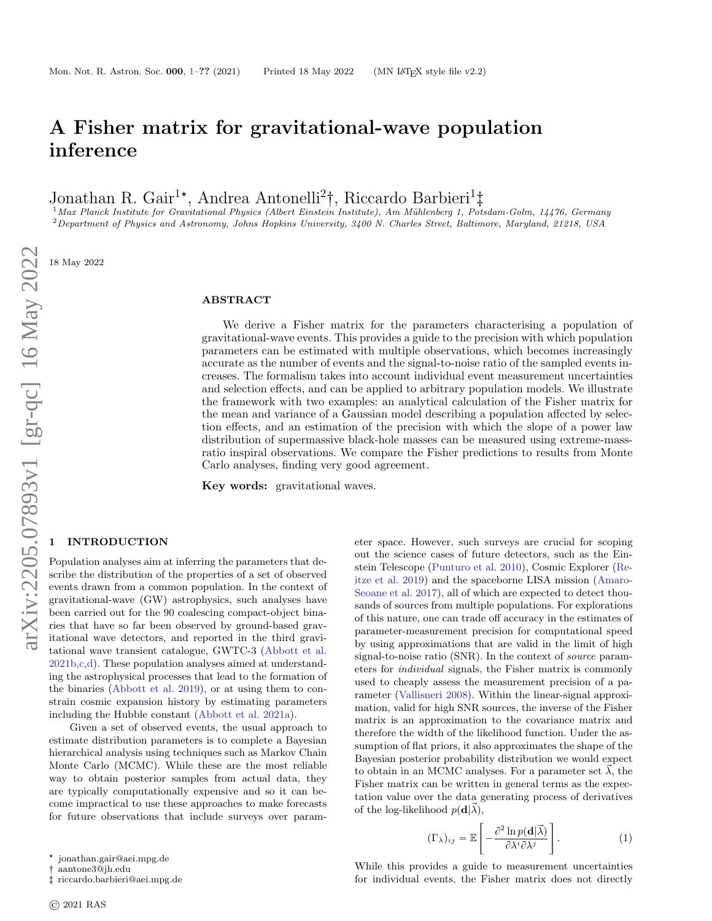# A Fisher matrix for gravitational-wave population inference

Jonathan R. Gair<sup>1</sup>\*, Andrea Antonelli<sup>2</sup>†, Riccardo Barbieri<sup>1</sup>‡

 $1$ Max Planck Institute for Gravitational Physics (Albert Einstein Institute), Am Mühlenberg 1, Potsdam-Golm, 14476, Germany  $2$ Department of Physics and Astronomy, Johns Hopkins University, 3400 N. Charles Street, Baltimore, Maryland, 21218, USA

18 May 2022

## ABSTRACT

We derive a Fisher matrix for the parameters characterising a population of gravitational-wave events. This provides a guide to the precision with which population parameters can be estimated with multiple observations, which becomes increasingly accurate as the number of events and the signal-to-noise ratio of the sampled events increases. The formalism takes into account individual event measurement uncertainties and selection effects, and can be applied to arbitrary population models. We illustrate the framework with two examples: an analytical calculation of the Fisher matrix for the mean and variance of a Gaussian model describing a population affected by selection effects, and an estimation of the precision with which the slope of a power law distribution of supermassive black-hole masses can be measured using extreme-massratio inspiral observations. We compare the Fisher predictions to results from Monte Carlo analyses, finding very good agreement.

Key words: gravitational waves.

## <span id="page-0-0"></span>**INTRODUCTION**

Population analyses aim at inferring the parameters that describe the distribution of the properties of a set of observed events drawn from a common population. In the context of gravitational-wave (GW) astrophysics, such analyses have been carried out for the 90 coalescing compact-object binaries that have so far been observed by ground-based gravitational wave detectors, and reported in the third gravitational wave transient catalogue, GWTC-3 [\(Abbott et al.](#page-9-0) [2021b,](#page-9-0)[c](#page-9-1)[,d\)](#page-9-2). These population analyses aimed at understanding the astrophysical processes that lead to the formation of the binaries [\(Abbott et al.](#page-9-3) [2019\)](#page-9-3), or at using them to constrain cosmic expansion history by estimating parameters including the Hubble constant [\(Abbott et al.](#page-9-4) [2021a\)](#page-9-4).

Given a set of observed events, the usual approach to estimate distribution parameters is to complete a Bayesian hierarchical analysis using techniques such as Markov Chain Monte Carlo (MCMC). While these are the most reliable way to obtain posterior samples from actual data, they are typically computationally expensive and so it can become impractical to use these approaches to make forecasts for future observations that include surveys over param-

eter space. However, such surveys are crucial for scoping out the science cases of future detectors, such as the Einstein Telescope [\(Punturo et al.](#page-9-5) [2010\)](#page-9-5), Cosmic Explorer [\(Re](#page-9-6)[itze et al.](#page-9-6) [2019\)](#page-9-6) and the spaceborne LISA mission [\(Amaro-](#page-9-7)[Seoane et al.](#page-9-7) [2017\)](#page-9-7), all of which are expected to detect thousands of sources from multiple populations. For explorations of this nature, one can trade off accuracy in the estimates of parameter-measurement precision for computational speed by using approximations that are valid in the limit of high signal-to-noise ratio (SNR). In the context of *source* parameters for individual signals, the Fisher matrix is commonly used to cheaply assess the measurement precision of a parameter [\(Vallisneri](#page-9-8) [2008\)](#page-9-8). Within the linear-signal approximation, valid for high SNR sources, the inverse of the Fisher matrix is an approximation to the covariance matrix and therefore the width of the likelihood function. Under the assumption of flat priors, it also approximates the shape of the Bayesian posterior probability distribution we would expect to obtain in an MCMC analyses. For a parameter set  $\lambda$ , the Fisher matrix can be written in general terms as the expectation value over the data generating process of derivatives of the log-likelihood  $p(\mathbf{d}|\vec{\lambda}),$ « for the control of the control of the control of the control of the control of the control of the control of the control of the control of the control of the control of the control of the control of the control of the cont

<span id="page-0-1"></span>
$$
(\Gamma_{\lambda})_{ij} = \mathbb{E}\left[-\frac{\partial^2 \ln p(\mathbf{d}|\vec{\lambda})}{\partial \lambda^i \partial \lambda^j}\right].
$$
 (1)

While this provides a guide to measurement uncertainties for individual events, the Fisher matrix does not directly

<sup>\*</sup> jonathan.gair@aei.mpg.de

<sup>:</sup> aantone3@jh.edu

<sup>;</sup> riccardo.barbieri@aei.mpg.de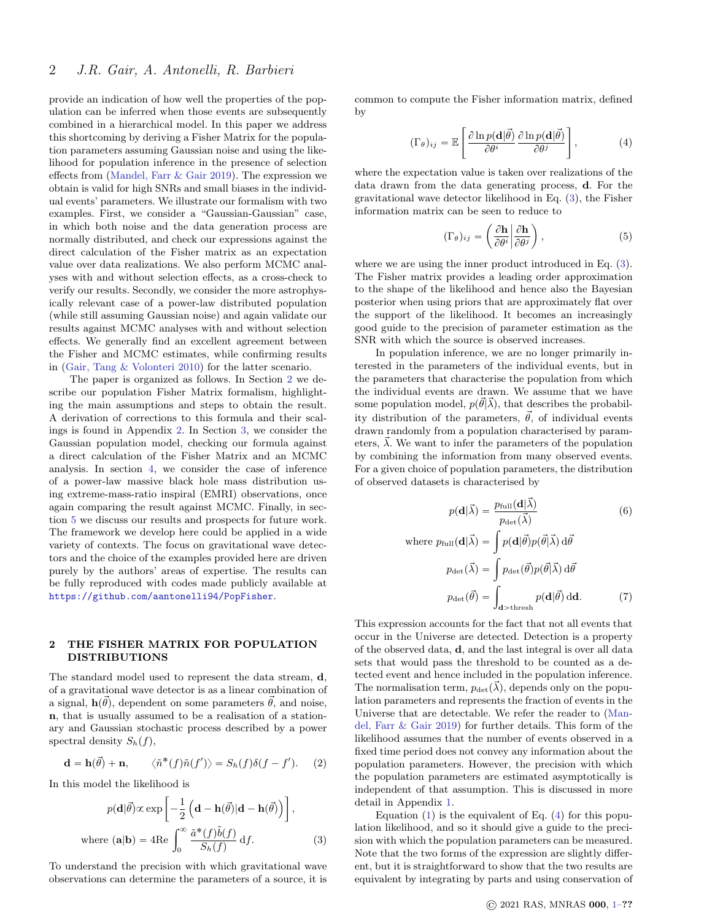provide an indication of how well the properties of the population can be inferred when those events are subsequently combined in a hierarchical model. In this paper we address this shortcoming by deriving a Fisher Matrix for the population parameters assuming Gaussian noise and using the likelihood for population inference in the presence of selection effects from [\(Mandel, Farr & Gair](#page-9-9) [2019\)](#page-9-9). The expression we obtain is valid for high SNRs and small biases in the individual events' parameters. We illustrate our formalism with two examples. First, we consider a "Gaussian-Gaussian" case, in which both noise and the data generation process are normally distributed, and check our expressions against the direct calculation of the Fisher matrix as an expectation value over data realizations. We also perform MCMC analyses with and without selection effects, as a cross-check to verify our results. Secondly, we consider the more astrophysically relevant case of a power-law distributed population (while still assuming Gaussian noise) and again validate our results against MCMC analyses with and without selection effects. We generally find an excellent agreement between the Fisher and MCMC estimates, while confirming results in [\(Gair, Tang & Volonteri](#page-9-10) [2010\)](#page-9-10) for the latter scenario.

The paper is organized as follows. In Section [2](#page-1-0) we describe our population Fisher Matrix formalism, highlighting the main assumptions and steps to obtain the result. A derivation of corrections to this formula and their scalings is found in Appendix [2.](#page-10-0) In Section [3,](#page-3-0) we consider the Gaussian population model, checking our formula against a direct calculation of the Fisher Matrix and an MCMC analysis. In section [4,](#page-6-0) we consider the case of inference of a power-law massive black hole mass distribution using extreme-mass-ratio inspiral (EMRI) observations, once again comparing the result against MCMC. Finally, in section [5](#page-7-0) we discuss our results and prospects for future work. The framework we develop here could be applied in a wide variety of contexts. The focus on gravitational wave detectors and the choice of the examples provided here are driven purely by the authors' areas of expertise. The results can be fully reproduced with codes made publicly available at <https://github.com/aantonelli94/PopFisher>.

## <span id="page-1-0"></span>2 THE FISHER MATRIX FOR POPULATION DISTRIBUTIONS

The standard model used to represent the data stream, d, of a gravitational wave detector is as a linear combination of a signal,  $\mathbf{h}(\vec{\theta})$ , dependent on some parameters  $\vec{\theta}$ , and noise, n, that is usually assumed to be a realisation of a stationary and Gaussian stochastic process described by a power spectral density  $S_h(f)$ ,

$$
\mathbf{d} = \mathbf{h}(\vec{\theta}) + \mathbf{n}, \qquad \langle \tilde{n}^*(f) \tilde{n}(f') \rangle = S_h(f) \delta(f - f'). \tag{2}
$$

In this model the likelihood is

$$
p(\mathbf{d}|\vec{\theta}) \propto \exp\left[-\frac{1}{2}\left(\mathbf{d} - \mathbf{h}(\vec{\theta})|\mathbf{d} - \mathbf{h}(\vec{\theta})\right)\right],
$$
  
where  $(\mathbf{a}|\mathbf{b}) = 4\text{Re}\int_0^\infty \frac{\tilde{a}^*(f)\tilde{b}(f)}{S_h(f)} df.$  (3)

To understand the precision with which gravitational wave observations can determine the parameters of a source, it is common to compute the Fisher information matrix, defined by «  $\overline{a}$ 

<span id="page-1-2"></span>
$$
(\Gamma_{\theta})_{ij} = \mathbb{E}\left[\frac{\partial \ln p(\mathbf{d}|\vec{\theta})}{\partial \theta^{i}} \frac{\partial \ln p(\mathbf{d}|\vec{\theta})}{\partial \theta^{j}}\right],
$$
 (4)

where the expectation value is taken over realizations of the data drawn from the data generating process, d. For the gravitational wave detector likelihood in Eq. [\(3\)](#page-1-1), the Fisher information matrix can be seen to reduce to

<span id="page-1-3"></span>
$$
(\Gamma_{\theta})_{ij} = \left(\frac{\partial \mathbf{h}}{\partial \theta^{i}} \middle| \frac{\partial \mathbf{h}}{\partial \theta^{j}}\right),\tag{5}
$$

where we are using the inner product introduced in Eq. [\(3\)](#page-1-1). The Fisher matrix provides a leading order approximation to the shape of the likelihood and hence also the Bayesian posterior when using priors that are approximately flat over the support of the likelihood. It becomes an increasingly good guide to the precision of parameter estimation as the SNR with which the source is observed increases.

In population inference, we are no longer primarily interested in the parameters of the individual events, but in the parameters that characterise the population from which the individual events are drawn. We assume that we have some population model,  $p(\vec{\theta}|\vec{\lambda})$ , that describes the probability distribution of the parameters,  $\vec{\theta}$ , of individual events drawn randomly from a population characterised by parameters,  $\vec{\lambda}$ . We want to infer the parameters of the population by combining the information from many observed events. For a given choice of population parameters, the distribution of observed datasets is characterised by

<span id="page-1-5"></span><span id="page-1-4"></span>
$$
p(\mathbf{d}|\vec{\lambda}) = \frac{p_{\text{full}}(\mathbf{d}|\vec{\lambda})}{p_{\text{det}}(\vec{\lambda})}
$$
(6)  
where  $p_{\text{full}}(\mathbf{d}|\vec{\lambda}) = \int p(\mathbf{d}|\vec{\theta})p(\vec{\theta}|\vec{\lambda}) d\vec{\theta}$   

$$
p_{\text{det}}(\vec{\lambda}) = \int p_{\text{det}}(\vec{\theta})p(\vec{\theta}|\vec{\lambda}) d\vec{\theta}
$$
  

$$
p_{\text{det}}(\vec{\theta}) = \int_{\mathbf{d} > \text{thresh}} p(\mathbf{d}|\vec{\theta}) d\mathbf{d}.
$$
(7)

This expression accounts for the fact that not all events that occur in the Universe are detected. Detection is a property of the observed data, d, and the last integral is over all data sets that would pass the threshold to be counted as a detected event and hence included in the population inference. The normalisation term,  $p_{\det}(\vec{\lambda})$ , depends only on the population parameters and represents the fraction of events in the Universe that are detectable. We refer the reader to [\(Man](#page-9-9)[del, Farr & Gair](#page-9-9) [2019\)](#page-9-9) for further details. This form of the likelihood assumes that the number of events observed in a fixed time period does not convey any information about the population parameters. However, the precision with which the population parameters are estimated asymptotically is independent of that assumption. This is discussed in more detail in Appendix [1.](#page-9-11)

<span id="page-1-1"></span>Equation  $(1)$  is the equivalent of Eq.  $(4)$  for this population likelihood, and so it should give a guide to the precision with which the population parameters can be measured. Note that the two forms of the expression are slightly different, but it is straightforward to show that the two results are equivalent by integrating by parts and using conservation of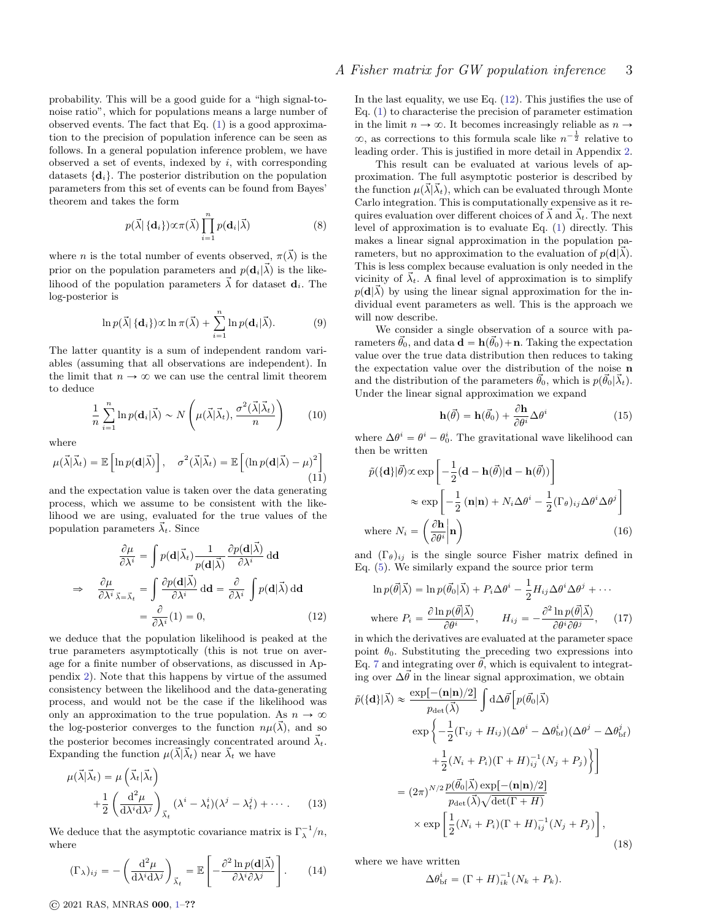probability. This will be a good guide for a "high signal-tonoise ratio", which for populations means a large number of observed events. The fact that Eq.  $(1)$  is a good approximation to the precision of population inference can be seen as follows. In a general population inference problem, we have observed a set of events, indexed by  $i$ , with corresponding datasets  $\{d_i\}$ . The posterior distribution on the population parameters from this set of events can be found from Bayes' theorem and takes the form

<span id="page-2-3"></span>
$$
p(\vec{\lambda} | \{ \mathbf{d}_i \}) \propto \pi(\vec{\lambda}) \prod_{i=1}^n p(\mathbf{d}_i | \vec{\lambda})
$$
 (8)

where *n* is the total number of events observed,  $\pi(\vec{\lambda})$  is the prior on the population parameters and  $p(\mathbf{d}_i|\vec{\lambda})$  is the likelihood of the population parameters  $\vec{\lambda}$  for dataset  $\mathbf{d}_i$ . The log-posterior is

$$
\ln p(\vec{\lambda} | \{ \mathbf{d}_i \}) \propto \ln \pi(\vec{\lambda}) + \sum_{i=1}^n \ln p(\mathbf{d}_i | \vec{\lambda}). \tag{9}
$$

The latter quantity is a sum of independent random variables (assuming that all observations are independent). In the limit that  $n \to \infty$  we can use the central limit theorem to deduce

$$
\frac{1}{n}\sum_{i=1}^{n}\ln p(\mathbf{d}_{i}|\vec{\lambda}) \sim N\left(\mu(\vec{\lambda}|\vec{\lambda}_{t}), \frac{\sigma^{2}(\vec{\lambda}|\vec{\lambda}_{t})}{n}\right) \tag{10}
$$

where

$$
\mu(\vec{\lambda}|\vec{\lambda}_t) = \mathbb{E}\left[\ln p(\mathbf{d}|\vec{\lambda})\right], \quad \sigma^2(\vec{\lambda}|\vec{\lambda}_t) = \mathbb{E}\left[\left(\ln p(\mathbf{d}|\vec{\lambda}) - \mu\right)^2\right]
$$
(11)

and the expectation value is taken over the data generating process, which we assume to be consistent with the likelihood we are using, evaluated for the true values of the population parameters  $\lambda_t$ . Since

$$
\frac{\partial \mu}{\partial \lambda^i} = \int p(\mathbf{d}|\vec{\lambda}_t) \frac{1}{p(\mathbf{d}|\vec{\lambda})} \frac{\partial p(\mathbf{d}|\vec{\lambda})}{\partial \lambda^i} d\mathbf{d}
$$
  
\n
$$
\Rightarrow \frac{\partial \mu}{\partial \lambda^i} \frac{1}{\vec{\lambda} = \vec{\lambda}_t} = \int \frac{\partial p(\mathbf{d}|\vec{\lambda})}{\partial \lambda^i} d\mathbf{d} = \frac{\partial}{\partial \lambda^i} \int p(\mathbf{d}|\vec{\lambda}) d\mathbf{d}
$$
  
\n
$$
= \frac{\partial}{\partial \lambda^i} (1) = 0,
$$
 (12)

we deduce that the population likelihood is peaked at the true parameters asymptotically (this is not true on average for a finite number of observations, as discussed in Appendix [2\)](#page-10-0). Note that this happens by virtue of the assumed consistency between the likelihood and the data-generating process, and would not be the case if the likelihood was only an approximation to the true population. As  $n \to \infty$ the log-posterior converges to the function  $n\mu(\vec{\lambda})$ , and so the posterior becomes increasingly concentrated around  $\vec{\lambda}_t$ . Expanding the function  $\mu(\vec{\lambda}|\vec{\lambda}_t)$  near  $\vec{\lambda}_t$  we have

$$
\mu(\vec{\lambda}|\vec{\lambda}_t) = \mu\left(\vec{\lambda}_t|\vec{\lambda}_t\right) \n+ \frac{1}{2}\left(\frac{\mathrm{d}^2\mu}{\mathrm{d}\lambda^i\mathrm{d}\lambda^j}\right)_{\vec{\lambda}_t} (\lambda^i - \lambda_t^i)(\lambda^j - \lambda_t^j) + \cdots.
$$
\n(13)

We deduce that the asymptotic covariance matrix is  $\Gamma_{\lambda}^{-1}/n$ , where « for the state of the state of the state of the state of the state of the state of the state of the state of th

$$
(\Gamma_{\lambda})_{ij} = -\left(\frac{\mathrm{d}^2 \mu}{\mathrm{d}\lambda^i \mathrm{d}\lambda^j}\right)_{\vec{\lambda}_t} = \mathbb{E}\left[-\frac{\partial^2 \ln p(\mathbf{d}|\vec{\lambda})}{\partial \lambda^i \partial \lambda^j}\right].
$$
 (14)

In the last equality, we use Eq. [\(12\)](#page-2-0). This justifies the use of Eq. [\(1\)](#page-0-1) to characterise the precision of parameter estimation in the limit  $n \to \infty$ . It becomes increasingly reliable as  $n \to$  $\infty$ , as corrections to this formula scale like  $n^{-\frac{1}{2}}$  relative to leading order. This is justified in more detail in Appendix [2.](#page-10-0)

This result can be evaluated at various levels of approximation. The full asymptotic posterior is described by the function  $\mu(\vec{\lambda}|\vec{\lambda}_t)$ , which can be evaluated through Monte Carlo integration. This is computationally expensive as it requires evaluation over different choices of  $\vec{\lambda}$  and  $\vec{\lambda}_t$ . The next level of approximation is to evaluate Eq. [\(1\)](#page-0-1) directly. This makes a linear signal approximation in the population parameters, but no approximation to the evaluation of  $p(\mathbf{d}|\vec{\lambda})$ . This is less complex because evaluation is only needed in the vicinity of  $\vec{\lambda}_t$ . A final level of approximation is to simplify  $p(\mathbf{d}|\vec{\lambda})$  by using the linear signal approximation for the individual event parameters as well. This is the approach we will now describe.

We consider a single observation of a source with parameters  $\vec{\theta}_0$ , and data  $\mathbf{d} = \mathbf{h}(\vec{\theta}_0) + \mathbf{n}$ . Taking the expectation value over the true data distribution then reduces to taking the expectation value over the distribution of the noise n and the distribution of the parameters  $\vec{\theta}_0$ , which is  $p(\vec{\theta}_0|\vec{\lambda}_t)$ . Under the linear signal approximation we expand

$$
\mathbf{h}(\vec{\theta}) = \mathbf{h}(\vec{\theta}_0) + \frac{\partial \mathbf{h}}{\partial \theta^i} \Delta \theta^i
$$
 (15)

where  $\Delta \theta^i = \theta^i - \theta_0^i$ . The gravitational wave likelihood can

then be written  
\n
$$
\tilde{p}(\{\mathbf{d}\}|\vec{\theta}) \propto \exp\left[-\frac{1}{2}(\mathbf{d} - \mathbf{h}(\vec{\theta})|\mathbf{d} - \mathbf{h}(\vec{\theta}))\right]
$$
\n
$$
\approx \exp\left[-\frac{1}{2}(\mathbf{n}|\mathbf{n}) + N_i\Delta\theta^i - \frac{1}{2}(\Gamma_{\theta})_{ij}\Delta\theta^i\Delta\theta^j\right]
$$
\nwhere  $N_i = \left(\frac{\partial \mathbf{h}}{\partial \theta^i}|\mathbf{n}\right)$  (16)

and  $(\Gamma_{\theta})_{ij}$  is the single source Fisher matrix defined in Eq. [\(5\)](#page-1-3). We similarly expand the source prior term

<span id="page-2-2"></span>
$$
\ln p(\vec{\theta}|\vec{\lambda}) = \ln p(\vec{\theta}_0|\vec{\lambda}) + P_i \Delta \theta^i - \frac{1}{2} H_{ij} \Delta \theta^i \Delta \theta^j + \cdots
$$
  
where  $P_i = \frac{\partial \ln p(\vec{\theta}|\vec{\lambda})}{\partial \theta^i}, \qquad H_{ij} = -\frac{\partial^2 \ln p(\vec{\theta}|\vec{\lambda})}{\partial \theta^i \partial \theta^j},$  (17)

<span id="page-2-0"></span>in which the derivatives are evaluated at the parameter space point  $\theta_0$ . Substituting the preceding two expressions into Eq. [7](#page-1-4) and integrating over  $\vec{\theta}$ , which is equivalent to integrating over  $\Delta\vec{\theta}$  in the linear signal approximation, we obtain

$$
\tilde{p}(\{\mathbf{d}\}|\vec{\lambda}) \approx \frac{\exp[-(\mathbf{n}|\mathbf{n})/2]}{p_{\text{det}}(\vec{\lambda})} \int d\Delta \vec{\theta} \Big[ p(\vec{\theta_0}|\vec{\lambda})
$$
\n
$$
\exp\left\{-\frac{1}{2}(\Gamma_{ij} + H_{ij})(\Delta \theta^i - \Delta \theta_{\text{bf}}^i)(\Delta \theta^j - \Delta \theta_{\text{bf}}^j)
$$
\n
$$
+\frac{1}{2}(N_i + P_i)(\Gamma + H)_{ij}^{-1}(N_j + P_j)\right\}\Big]
$$
\n
$$
= (2\pi)^{N/2} \frac{p(\vec{\theta_0}|\vec{\lambda}) \exp[-(\mathbf{n}|\mathbf{n})/2]}{p_{\text{det}}(\vec{\lambda})\sqrt{\det(\Gamma + H)}}
$$
\n
$$
\times \exp\left[\frac{1}{2}(N_i + P_i)(\Gamma + H)_{ij}^{-1}(N_j + P_j)\right],
$$
\n(18)

where we have written

<span id="page-2-1"></span>
$$
\Delta \theta_{\rm bf}^i = (\Gamma + H)_{ik}^{-1} (N_k + P_k).
$$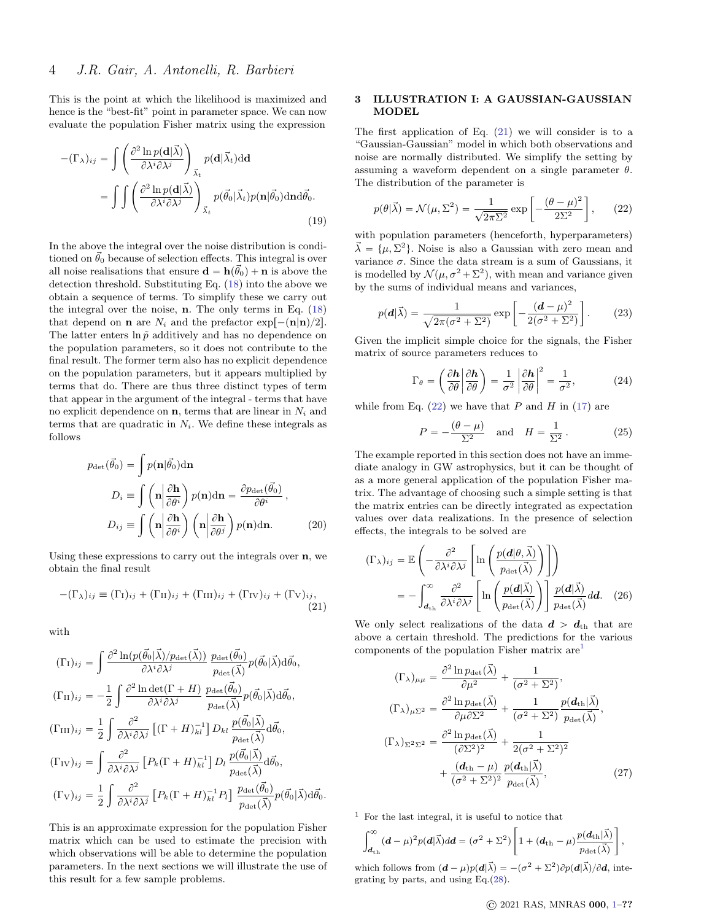This is the point at which the likelihood is maximized and hence is the "best-fit" point in parameter space. We can now evaluate the population Fisher matrix using the expression

$$
-(\Gamma_{\lambda})_{ij} = \int \left( \frac{\partial^2 \ln p(\mathbf{d}|\vec{\lambda})}{\partial \lambda^i \partial \lambda^j} \right)_{\vec{\lambda}_t} p(\mathbf{d}|\vec{\lambda}_t) d\mathbf{d}
$$

$$
= \int \int \left( \frac{\partial^2 \ln p(\mathbf{d}|\vec{\lambda})}{\partial \lambda^i \partial \lambda^j} \right)_{\vec{\lambda}_t} p(\vec{\theta}_0|\vec{\lambda}_t) p(\mathbf{n}|\vec{\theta}_0) d\mathbf{n} d\vec{\theta}_0.
$$
(19)

In the above the integral over the noise distribution is conditioned on  $\vec{\theta}_0$  because of selection effects. This integral is over all noise realisations that ensure  $\mathbf{d} = \mathbf{h}(\vec{\theta}_0) + \mathbf{n}$  is above the detection threshold. Substituting Eq. [\(18\)](#page-2-1) into the above we obtain a sequence of terms. To simplify these we carry out the integral over the noise,  $n$ . The only terms in Eq.  $(18)$ that depend on **n** are  $N_i$  and the prefactor  $\exp[-(\mathbf{n}|\mathbf{n})/2]$ . The latter enters  $\ln \tilde{p}$  additively and has no dependence on the population parameters, so it does not contribute to the final result. The former term also has no explicit dependence on the population parameters, but it appears multiplied by terms that do. There are thus three distinct types of term that appear in the argument of the integral - terms that have no explicit dependence on **n**, terms that are linear in  $N_i$  and terms that are quadratic in  $N_i$ . We define these integrals as follows

$$
p_{\det}(\vec{\theta}_0) = \int p(\mathbf{n}|\vec{\theta}_0) d\mathbf{n}
$$
  
\n
$$
D_i \equiv \int (\mathbf{n} \left| \frac{\partial \mathbf{h}}{\partial \theta^i} \right) p(\mathbf{n}) d\mathbf{n} = \frac{\partial p_{\det}(\vec{\theta}_0)}{\partial \theta^i},
$$
  
\n
$$
D_{ij} \equiv \int (\mathbf{n} \left| \frac{\partial \mathbf{h}}{\partial \theta^i} \right) (\mathbf{n} \left| \frac{\partial \mathbf{h}}{\partial \theta^j} \right) p(\mathbf{n}) d\mathbf{n}.
$$
 (20)

Using these expressions to carry out the integrals over n, we obtain the final result

$$
-(\Gamma_{\lambda})_{ij} \equiv (\Gamma_{\text{I}})_{ij} + (\Gamma_{\text{II}})_{ij} + (\Gamma_{\text{III}})_{ij} + (\Gamma_{\text{IV}})_{ij} + (\Gamma_{\text{V}})_{ij},
$$
\n(21)

with

$$
(\Gamma_{I})_{ij} = \int \frac{\partial^{2} \ln(p(\vec{\theta}_{0}|\vec{\lambda})/p_{\text{det}}(\vec{\lambda}))}{\partial \lambda^{i} \partial \lambda^{j}} \frac{p_{\text{det}}(\vec{\theta}_{0})}{p_{\text{det}}(\vec{\lambda})} p(\vec{\theta}_{0}|\vec{\lambda}) d\vec{\theta}_{0},
$$
  
\n
$$
(\Gamma_{II})_{ij} = -\frac{1}{2} \int \frac{\partial^{2} \ln \det(\Gamma + H)}{\partial \lambda^{i} \partial \lambda^{j}} \frac{p_{\text{det}}(\vec{\theta}_{0})}{p_{\text{det}}(\vec{\lambda})} p(\vec{\theta}_{0}|\vec{\lambda}) d\vec{\theta}_{0},
$$
  
\n
$$
(\Gamma_{III})_{ij} = \frac{1}{2} \int \frac{\partial^{2}}{\partial \lambda^{i} \partial \lambda^{j}} \left[ (\Gamma + H)_{kl}^{-1} \right] D_{kl} \frac{p(\vec{\theta}_{0}|\vec{\lambda})}{p_{\text{det}}(\vec{\lambda})} d\vec{\theta}_{0},
$$
  
\n
$$
(\Gamma_{IV})_{ij} = \int \frac{\partial^{2}}{\partial \lambda^{i} \partial \lambda^{j}} \left[ P_{k}(\Gamma + H)_{kl}^{-1} \right] D_{l} \frac{p(\vec{\theta}_{0}|\vec{\lambda})}{p_{\text{det}}(\vec{\lambda})} d\vec{\theta}_{0},
$$
  
\n
$$
(\Gamma_{V})_{ij} = \frac{1}{2} \int \frac{\partial^{2}}{\partial \lambda^{i} \partial \lambda^{j}} \left[ P_{k}(\Gamma + H)_{kl}^{-1} P_{l} \right] \frac{p_{\text{det}}(\vec{\theta}_{0})}{p_{\text{det}}(\vec{\lambda})} p(\vec{\theta}_{0}|\vec{\lambda}) d\vec{\theta}_{0}.
$$

This is an approximate expression for the population Fisher matrix which can be used to estimate the precision with which observations will be able to determine the population parameters. In the next sections we will illustrate the use of this result for a few sample problems.

## <span id="page-3-0"></span>3 ILLUSTRATION I: A GAUSSIAN-GAUSSIAN **MODEL**

The first application of Eq.  $(21)$  we will consider is to a "Gaussian-Gaussian" model in which both observations and noise are normally distributed. We simplify the setting by assuming a waveform dependent on a single parameter  $\theta$ . The distribution of the parameter is

<span id="page-3-2"></span>
$$
p(\theta|\vec{\lambda}) = \mathcal{N}(\mu, \Sigma^2) = \frac{1}{\sqrt{2\pi\Sigma^2}} \exp\left[-\frac{(\theta - \mu)^2}{2\Sigma^2}\right],\qquad(22)
$$

with population parameters (henceforth, hyperparameters)  $\vec{\lambda} = {\mu, \Sigma^2}$ . Noise is also a Gaussian with zero mean and variance  $\sigma$ . Since the data stream is a sum of Gaussians, it is modelled by  $\mathcal{N}(\mu, \sigma^2 + \Sigma^2)$ , with mean and variance given by the sums of individual means and variances, 

$$
p(\mathbf{d}|\vec{\lambda}) = \frac{1}{\sqrt{2\pi(\sigma^2 + \Sigma^2)}} \exp\left[-\frac{(\mathbf{d} - \mu)^2}{2(\sigma^2 + \Sigma^2)}\right].
$$
 (23)

Given the implicit simple choice for the signals, the Fisher matrix of source parameters reduces to

<span id="page-3-6"></span><span id="page-3-4"></span>
$$
\Gamma_{\theta} = \left(\frac{\partial \mathbf{h}}{\partial \theta} \middle| \frac{\partial \mathbf{h}}{\partial \theta}\right) = \frac{1}{\sigma^2} \left|\frac{\partial \mathbf{h}}{\partial \theta}\right|^2 = \frac{1}{\sigma^2},\tag{24}
$$

while from Eq.  $(22)$  we have that P and H in  $(17)$  are

<span id="page-3-7"></span>
$$
P = -\frac{(\theta - \mu)}{\Sigma^2} \quad \text{and} \quad H = \frac{1}{\Sigma^2} \,. \tag{25}
$$

The example reported in this section does not have an immediate analogy in GW astrophysics, but it can be thought of as a more general application of the population Fisher matrix. The advantage of choosing such a simple setting is that the matrix entries can be directly integrated as expectation values over data realizations. In the presence of selection effects, the integrals to be solved are «  $f_{\rm eff}$ 

<span id="page-3-9"></span>
$$
(\Gamma_{\lambda})_{ij} = \mathbb{E}\left(-\frac{\partial^2}{\partial \lambda^i \partial \lambda^j} \left[\ln\left(\frac{p(\boldsymbol{d}|\theta,\vec{\lambda})}{p_{\text{det}}(\vec{\lambda})}\right)\right]\right)
$$

$$
= -\int_{d_{\text{th}}}^{\infty} \frac{\partial^2}{\partial \lambda^i \partial \lambda^j} \left[\ln\left(\frac{p(\boldsymbol{d}|\vec{\lambda})}{p_{\text{det}}(\vec{\lambda})}\right)\right] \frac{p(\boldsymbol{d}|\vec{\lambda})}{p_{\text{det}}(\vec{\lambda})} d\boldsymbol{d}.\quad(26)
$$

<span id="page-3-1"></span>We only select realizations of the data  $d > d_{\text{th}}$  that are above a certain threshold. The predictions for the various components of the population Fisher matrix are[1](#page-3-3)

$$
(\Gamma_{\lambda})_{\mu\mu} = \frac{\partial^2 \ln p_{\text{det}}(\vec{\lambda})}{\partial \mu^2} + \frac{1}{(\sigma^2 + \Sigma^2)},
$$
  
\n
$$
(\Gamma_{\lambda})_{\mu\Sigma^2} = \frac{\partial^2 \ln p_{\text{det}}(\vec{\lambda})}{\partial \mu \partial \Sigma^2} + \frac{1}{(\sigma^2 + \Sigma^2)} \frac{p(\boldsymbol{d}_{\text{th}}|\vec{\lambda})}{p_{\text{det}}(\vec{\lambda})},
$$
  
\n
$$
(\Gamma_{\lambda})_{\Sigma^2 \Sigma^2} = \frac{\partial^2 \ln p_{\text{det}}(\vec{\lambda})}{(\partial \Sigma^2)^2} + \frac{1}{2(\sigma^2 + \Sigma^2)^2} + \frac{(\boldsymbol{d}_{\text{th}} - \mu)}{(\sigma^2 + \Sigma^2)^2} \frac{p(\boldsymbol{d}_{\text{th}}|\vec{\lambda})}{p_{\text{det}}(\vec{\lambda})},
$$
\n(27)

<span id="page-3-3"></span><sup>1</sup> For the last integral, it is useful to notice that

$$
\int_{\mathbf{d}_{\mathrm{th}}}^{\infty} (\mathbf{d} - \mu)^2 p(\mathbf{d} | \vec{\lambda}) d\mathbf{d} = (\sigma^2 + \Sigma^2) \left[ 1 + (\mathbf{d}_{\mathrm{th}} - \mu) \frac{p(\mathbf{d}_{\mathrm{th}} | \vec{\lambda})}{p_{\mathrm{det}}(\vec{\lambda})} \right],
$$

which follows from  $(d - \mu)p(d|\vec{\lambda}) = -(\sigma^2 + \Sigma^2)\partial p(d|\vec{\lambda})/\partial d$ , integrating by parts, and using Eq.[\(28\)](#page-4-0).

<span id="page-3-8"></span><span id="page-3-5"></span>ff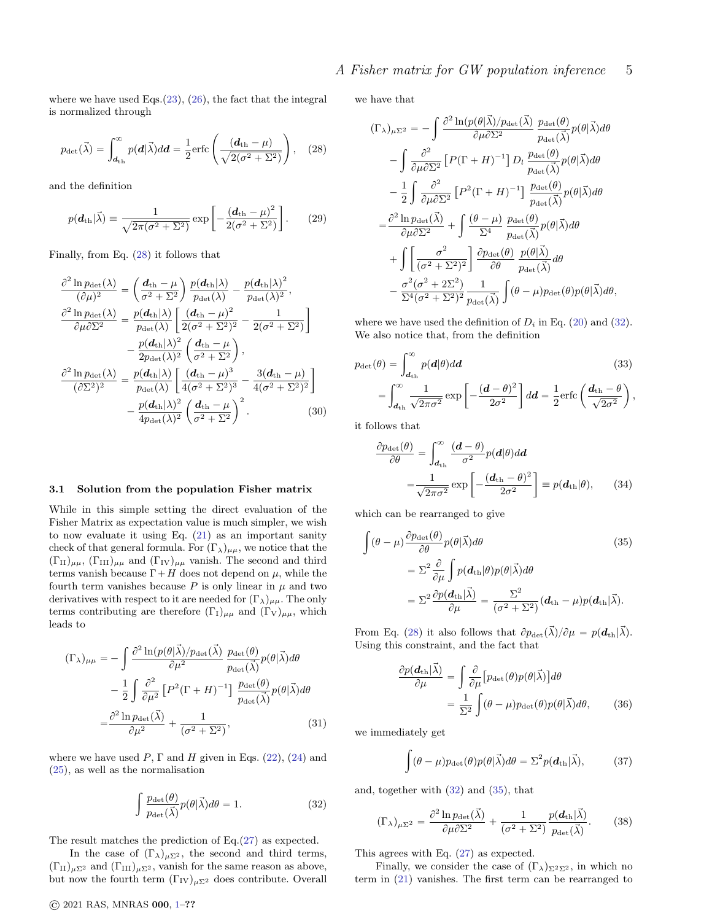where we have used Eqs. $(23)$ ,  $(26)$ , the fact that the integral is normalized through

<span id="page-4-0"></span>
$$
p_{\det}(\vec{\lambda}) = \int_{d_{\text{th}}}^{\infty} p(\mathbf{d}|\vec{\lambda}) d\mathbf{d} = \frac{1}{2} \text{erfc}\left(\frac{(\mathbf{d}_{\text{th}} - \mu)}{\sqrt{2(\sigma^2 + \Sigma^2)}}\right), \quad (28)
$$

and the definition

<span id="page-4-5"></span>
$$
p(\mathbf{d}_{\rm th}|\vec{\lambda}) \equiv \frac{1}{\sqrt{2\pi(\sigma^2 + \Sigma^2)}} \exp\left[-\frac{(\mathbf{d}_{\rm th} - \mu)^2}{2(\sigma^2 + \Sigma^2)}\right].
$$
 (29)

Finally, from Eq. [\(28\)](#page-4-0) it follows that

$$
\frac{\partial^2 \ln p_{\det}(\lambda)}{(\partial \mu)^2} = \left(\frac{\boldsymbol{d}_{\mathrm{th}} - \mu}{\sigma^2 + \Sigma^2}\right) \frac{p(\boldsymbol{d}_{\mathrm{th}}|\lambda)}{p_{\det}(\lambda)} - \frac{p(\boldsymbol{d}_{\mathrm{th}}|\lambda)^2}{p_{\det}(\lambda)^2},
$$
\n
$$
\frac{\partial^2 \ln p_{\det}(\lambda)}{\partial \mu \partial \Sigma^2} = \frac{p(\boldsymbol{d}_{\mathrm{th}}|\lambda)}{p_{\det}(\lambda)} \left[ \frac{(\boldsymbol{d}_{\mathrm{th}} - \mu)^2}{2(\sigma^2 + \Sigma^2)^2} - \frac{1}{2(\sigma^2 + \Sigma^2)} \right]
$$
\n
$$
- \frac{p(\boldsymbol{d}_{\mathrm{th}}|\lambda)^2}{2p_{\det}(\lambda)^2} \left( \frac{\boldsymbol{d}_{\mathrm{th}} - \mu}{\sigma^2 + \Sigma^2} \right),
$$
\n
$$
\frac{\partial^2 \ln p_{\det}(\lambda)}{(\partial \Sigma^2)^2} = \frac{p(\boldsymbol{d}_{\mathrm{th}}|\lambda)}{p_{\det}(\lambda)} \left[ \frac{(\boldsymbol{d}_{\mathrm{th}} - \mu)^3}{4(\sigma^2 + \Sigma^2)^3} - \frac{3(\boldsymbol{d}_{\mathrm{th}} - \mu)}{4(\sigma^2 + \Sigma^2)^2} \right]
$$
\n
$$
- \frac{p(\boldsymbol{d}_{\mathrm{th}}|\lambda)^2}{4p_{\det}(\lambda)^2} \left( \frac{\boldsymbol{d}_{\mathrm{th}} - \mu}{\sigma^2 + \Sigma^2} \right)^2. \tag{30}
$$

#### 3.1 Solution from the population Fisher matrix

While in this simple setting the direct evaluation of the Fisher Matrix as expectation value is much simpler, we wish to now evaluate it using Eq. [\(21\)](#page-3-1) as an important sanity check of that general formula. For  $(\Gamma_{\lambda})_{\mu\mu}$ , we notice that the  $(\Gamma_{II})_{\mu\mu}$ ,  $(\Gamma_{III})_{\mu\mu}$  and  $(\Gamma_{IV})_{\mu\mu}$  vanish. The second and third terms vanish because  $\Gamma + H$  does not depend on  $\mu$ , while the fourth term vanishes because  $P$  is only linear in  $\mu$  and two derivatives with respect to it are needed for  $(\Gamma_{\lambda})_{\mu\mu}$ . The only terms contributing are therefore  $(\Gamma_{\text{I}})_{\mu\mu}$  and  $(\Gamma_{\text{V}})_{\mu\mu}$ , which leads to

$$
(\Gamma_{\lambda})_{\mu\mu} = -\int \frac{\partial^2 \ln(p(\theta|\vec{\lambda})/p_{\text{det}}(\vec{\lambda})}{\partial \mu^2} \frac{p_{\text{det}}(\theta)}{p_{\text{det}}(\vec{\lambda})} p(\theta|\vec{\lambda}) d\theta
$$

$$
- \frac{1}{2} \int \frac{\partial^2}{\partial \mu^2} \left[ P^2 (\Gamma + H)^{-1} \right] \frac{p_{\text{det}}(\theta)}{p_{\text{det}}(\vec{\lambda})} p(\theta|\vec{\lambda}) d\theta
$$

$$
= \frac{\partial^2 \ln p_{\text{det}}(\vec{\lambda})}{\partial \mu^2} + \frac{1}{(\sigma^2 + \Sigma^2)}, \tag{31}
$$

where we have used P,  $\Gamma$  and H given in Eqs. [\(22\)](#page-3-2), [\(24\)](#page-3-6) and [\(25\)](#page-3-7), as well as the normalisation

<span id="page-4-1"></span>
$$
\int \frac{p_{\det}(\theta)}{p_{\det}(\vec{\lambda})} p(\theta | \vec{\lambda}) d\theta = 1.
$$
 (32)

The result matches the prediction of Eq.[\(27\)](#page-3-8) as expected.

In the case of  $(\Gamma_{\lambda})_{\mu\Sigma^2}$ , the second and third terms,  $(\Gamma_{II})_{\mu\Sigma^2}$  and  $(\Gamma_{III})_{\mu\Sigma^2}$ , vanish for the same reason as above, but now the fourth term  $(\Gamma_{IV})_{\mu\Sigma^2}$  does contribute. Overall we have that

$$
(\Gamma_{\lambda})_{\mu\Sigma^{2}} = -\int \frac{\partial^{2} \ln(p(\theta|\vec{\lambda})/p_{\text{det}}(\vec{\lambda})}{\partial \mu \partial \Sigma^{2}} \frac{p_{\text{det}}(\theta)}{p_{\text{det}}(\vec{\lambda})} p(\theta|\vec{\lambda}) d\theta - \int \frac{\partial^{2}}{\partial \mu \partial \Sigma^{2}} \left[ P(\Gamma + H)^{-1} \right] D_{l} \frac{p_{\text{det}}(\theta)}{p_{\text{det}}(\vec{\lambda})} p(\theta|\vec{\lambda}) d\theta - \frac{1}{2} \int \frac{\partial^{2}}{\partial \mu \partial \Sigma^{2}} \left[ P^{2}(\Gamma + H)^{-1} \right] \frac{p_{\text{det}}(\theta)}{p_{\text{det}}(\vec{\lambda})} p(\theta|\vec{\lambda}) d\theta = \frac{\partial^{2} \ln p_{\text{det}}(\vec{\lambda})}{\partial \mu \partial \Sigma^{2}} + \int \frac{(\theta - \mu)}{\Sigma^{4}} \frac{p_{\text{det}}(\theta)}{p_{\text{det}}(\vec{\lambda})} p(\theta|\vec{\lambda}) d\theta + \int \left[ \frac{\sigma^{2}}{(\sigma^{2} + \Sigma^{2})^{2}} \right] \frac{\partial p_{\text{det}}(\theta)}{\partial \theta} \frac{p(\theta|\vec{\lambda})}{p_{\text{det}}(\vec{\lambda})} d\theta - \frac{\sigma^{2}(\sigma^{2} + 2\Sigma^{2})}{\Sigma^{4}(\sigma^{2} + \Sigma^{2})^{2}} \frac{1}{p_{\text{det}}(\vec{\lambda})} \int (\theta - \mu) p_{\text{det}}(\theta) p(\theta|\vec{\lambda}) d\theta,
$$

where we have used the definition of  $D_i$  in Eq. [\(20\)](#page-3-9) and [\(32\)](#page-4-1). We also notice that, from the definition

$$
p_{\text{det}}(\theta) = \int_{d_{\text{th}}}^{\infty} p(\boldsymbol{d}|\theta) d\boldsymbol{d}
$$
(33)  

$$
= \int_{d_{\text{th}}}^{\infty} \frac{1}{\sqrt{2\pi\sigma^2}} \exp\left[-\frac{(\boldsymbol{d}-\theta)^2}{2\sigma^2}\right] d\boldsymbol{d} = \frac{1}{2} \text{erfc}\left(\frac{d_{\text{th}}-\theta}{\sqrt{2\sigma^2}}\right),
$$

it follows that

<span id="page-4-4"></span><span id="page-4-3"></span>
$$
\frac{\partial p_{\det}(\theta)}{\partial \theta} = \int_{d_{\text{th}}}^{\infty} \frac{(d - \theta)}{\sigma^2} p(\boldsymbol{d}|\theta) d\boldsymbol{d}
$$

$$
= \frac{1}{\sqrt{2\pi\sigma^2}} \exp\left[-\frac{(\boldsymbol{d}_{\text{th}} - \theta)^2}{2\sigma^2}\right] \equiv p(\boldsymbol{d}_{\text{th}}|\theta), \qquad (34)
$$

which can be rearranged to give

<span id="page-4-2"></span>
$$
\int (\theta - \mu) \frac{\partial p_{\text{det}}(\theta)}{\partial \theta} p(\theta | \vec{\lambda}) d\theta
$$
\n
$$
= \Sigma^2 \frac{\partial}{\partial \mu} \int p(\boldsymbol{d}_{\text{th}} | \theta) p(\theta | \vec{\lambda}) d\theta
$$
\n
$$
= \Sigma^2 \frac{\partial p(\boldsymbol{d}_{\text{th}} | \vec{\lambda})}{\partial \mu} = \frac{\Sigma^2}{(\sigma^2 + \Sigma^2)} (\boldsymbol{d}_{\text{th}} - \mu) p(\boldsymbol{d}_{\text{th}} | \vec{\lambda}).
$$
\n(35)

From Eq. [\(28\)](#page-4-0) it also follows that  $\partial p_{\det}(\vec{\lambda})/\partial \mu = p(\mathbf{d}_{\text{th}}|\vec{\lambda}).$ Using this constraint, and the fact that

$$
\frac{\partial p(\boldsymbol{d}_{\text{th}}|\vec{\lambda})}{\partial \mu} = \int \frac{\partial}{\partial \mu} \left[ p_{\text{det}}(\theta) p(\theta|\vec{\lambda}) \right] d\theta
$$

$$
= \frac{1}{\Sigma^2} \int (\theta - \mu) p_{\text{det}}(\theta) p(\theta|\vec{\lambda}) d\theta, \qquad (36)
$$

we immediately get

<span id="page-4-6"></span>
$$
\int (\theta - \mu) p_{\text{det}}(\theta) p(\theta | \vec{\lambda}) d\theta = \Sigma^2 p(\boldsymbol{d}_{\text{th}} | \vec{\lambda}), \qquad (37)
$$

and, together with [\(32\)](#page-4-1) and [\(35\)](#page-4-2), that

$$
(\Gamma_{\lambda})_{\mu\Sigma^2} = \frac{\partial^2 \ln p_{\det}(\vec{\lambda})}{\partial \mu \partial \Sigma^2} + \frac{1}{(\sigma^2 + \Sigma^2)} \frac{p(\boldsymbol{d}_{\mathrm{th}}|\vec{\lambda})}{p_{\det}(\vec{\lambda})}.
$$
 (38)

This agrees with Eq. [\(27\)](#page-3-8) as expected.

Finally, we consider the case of  $(\Gamma_{\lambda})_{\Sigma^2\Sigma^2}$ , in which no term in [\(21\)](#page-3-1) vanishes. The first term can be rearranged to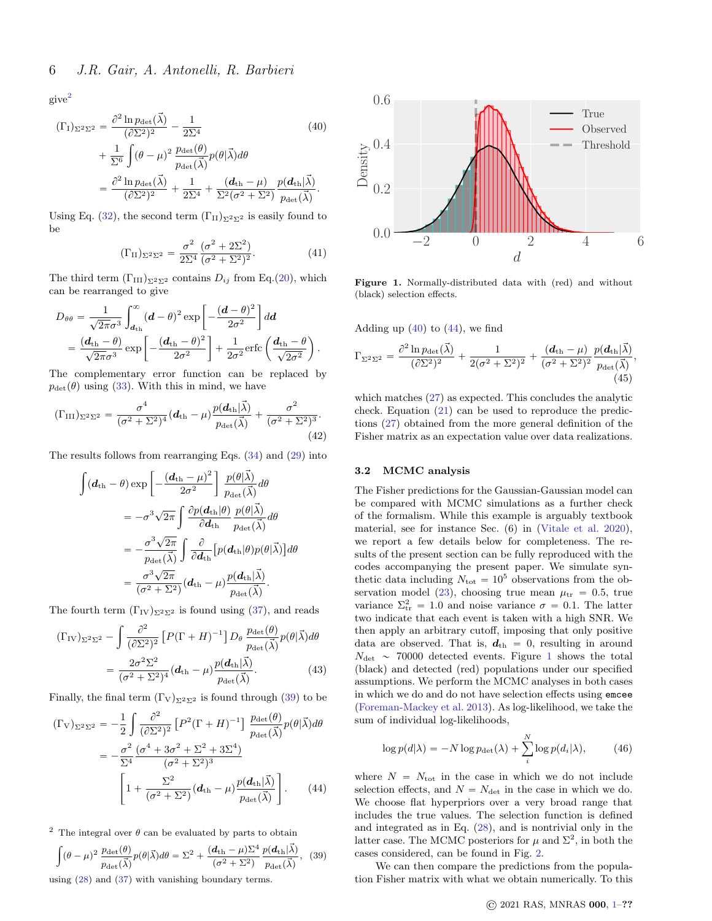$\text{give}^2$  $\text{give}^2$ 

$$
(\Gamma_{I})_{\Sigma^{2}\Sigma^{2}} = \frac{\partial^{2} \ln p_{\det}(\vec{\lambda})}{(\partial \Sigma^{2})^{2}} - \frac{1}{2\Sigma^{4}}
$$
(40)  
+ 
$$
\frac{1}{\Sigma^{6}} \int (\theta - \mu)^{2} \frac{p_{\det}(\theta)}{p_{\det}(\vec{\lambda})} p(\theta | \vec{\lambda}) d\theta
$$

$$
= \frac{\partial^{2} \ln p_{\det}(\vec{\lambda})}{(\partial \Sigma^{2})^{2}} + \frac{1}{2\Sigma^{4}} + \frac{(d_{\text{th}} - \mu)}{\Sigma^{2}(\sigma^{2} + \Sigma^{2})} \frac{p(d_{\text{th}} | \vec{\lambda})}{p_{\det}(\vec{\lambda})}.
$$

Using Eq. [\(32\)](#page-4-1), the second term  $(\Gamma_{II})_{\Sigma^2\Sigma^2}$  is easily found to be

$$
(\Gamma_{\text{II}})_{\Sigma^2 \Sigma^2} = \frac{\sigma^2}{2\Sigma^4} \frac{(\sigma^2 + 2\Sigma^2)}{(\sigma^2 + \Sigma^2)^2}.
$$
 (41)

The third term  $(\Gamma_{\text{III}})_{\Sigma^2\Sigma^2}$  contains  $D_{ij}$  from Eq.[\(20\)](#page-3-9), which can be rearranged to give 

$$
D_{\theta\theta} = \frac{1}{\sqrt{2\pi}\sigma^3} \int_{d_{\text{th}}}^{\infty} (\boldsymbol{d} - \theta)^2 \exp\left[ -\frac{(\boldsymbol{d} - \theta)^2}{2\sigma^2} \right] d\boldsymbol{d}
$$
  
= 
$$
\frac{(\boldsymbol{d}_{\text{th}} - \theta)}{\sqrt{2\pi}\sigma^3} \exp\left[ -\frac{(\boldsymbol{d}_{\text{th}} - \theta)^2}{2\sigma^2} \right] + \frac{1}{2\sigma^2} \text{erfc}\left( \frac{\boldsymbol{d}_{\text{th}} - \theta}{\sqrt{2\sigma^2}} \right).
$$

The complementary error function can be replaced by  $p_{\text{det}}(\theta)$  using [\(33\)](#page-4-3). With this in mind, we have

$$
(\Gamma_{\text{III}})_{\Sigma^2\Sigma^2} = \frac{\sigma^4}{(\sigma^2 + \Sigma^2)^4} (d_{\text{th}} - \mu) \frac{p(d_{\text{th}}|\vec{\lambda})}{p_{\text{det}}(\vec{\lambda})} + \frac{\sigma^2}{(\sigma^2 + \Sigma^2)^3}.
$$
\n(42)

The results follows from rearranging Eqs. [\(34\)](#page-4-4) and [\(29\)](#page-4-5) into

$$
\int (d_{\rm th} - \theta) \exp \left[ -\frac{(d_{\rm th} - \mu)^2}{2\sigma^2} \right] \frac{p(\theta | \vec{\lambda})}{p_{\rm det}(\vec{\lambda})} d\theta \n= -\sigma^3 \sqrt{2\pi} \int \frac{\partial p(d_{\rm th} | \theta)}{\partial d_{\rm th}} \frac{p(\theta | \vec{\lambda})}{p_{\rm det}(\vec{\lambda})} d\theta \n= -\frac{\sigma^3 \sqrt{2\pi}}{p_{\rm det}(\vec{\lambda})} \int \frac{\partial}{\partial d_{\rm th}} \left[ p(d_{\rm th} | \theta) p(\theta | \vec{\lambda}) \right] d\theta \n= \frac{\sigma^3 \sqrt{2\pi}}{(\sigma^2 + \Sigma^2)} (d_{\rm th} - \mu) \frac{p(d_{\rm th} | \vec{\lambda})}{p_{\rm det}(\vec{\lambda})}.
$$

The fourth term  $(\Gamma_{IV})_{\Sigma^2\Sigma^2}$  is found using [\(37\)](#page-4-6), and reads

$$
(\Gamma_{\rm IV})_{\Sigma^2 \Sigma^2} - \int \frac{\partial^2}{(\partial \Sigma^2)^2} \left[ P(\Gamma + H)^{-1} \right] D_\theta \frac{p_{\rm det}(\theta)}{p_{\rm det}(\vec{\lambda})} p(\theta | \vec{\lambda}) d\theta
$$
  
= 
$$
\frac{2\sigma^2 \Sigma^2}{(\sigma^2 + \Sigma^2)^4} (\mathbf{d}_{\rm th} - \mu) \frac{p(\mathbf{d}_{\rm th} | \vec{\lambda})}{p_{\rm det}(\vec{\lambda})}.
$$
(43)

Finally, the final term  $(\Gamma_V)_{\Sigma^2\Sigma^2}$  is found through [\(39\)](#page-5-1) to be

$$
(\Gamma_V)_{\Sigma^2\Sigma^2} = -\frac{1}{2} \int \frac{\partial^2}{(\partial \Sigma^2)^2} \left[ P^2 (\Gamma + H)^{-1} \right] \frac{p_{\det}(\theta)}{p_{\det}(\vec{\lambda})} p(\theta | \vec{\lambda}) d\theta
$$
  

$$
= -\frac{\sigma^2}{\Sigma^4} \frac{(\sigma^4 + 3\sigma^2 + \Sigma^2 + 3\Sigma^4)}{(\sigma^2 + \Sigma^2)^3}
$$
  

$$
\left[ 1 + \frac{\Sigma^2}{(\sigma^2 + \Sigma^2)} (d_{\text{th}} - \mu) \frac{p(d_{\text{th}} | \vec{\lambda})}{p_{\det}(\vec{\lambda})} \right].
$$
 (44)

<span id="page-5-0"></span><sup>2</sup> The integral over  $\theta$  can be evaluated by parts to obtain

$$
\int (\theta - \mu)^2 \frac{p_{\det}(\theta)}{p_{\det}(\vec{\lambda})} p(\theta | \vec{\lambda}) d\theta = \Sigma^2 + \frac{(d_{\text{th}} - \mu) \Sigma^4}{(\sigma^2 + \Sigma^2)} \frac{p(d_{\text{th}} | \vec{\lambda})}{p_{\det}(\vec{\lambda})},
$$
(39)

using [\(28\)](#page-4-0) and [\(37\)](#page-4-6) with vanishing boundary terms.

<span id="page-5-4"></span><span id="page-5-2"></span>

Figure 1. Normally-distributed data with (red) and without (black) selection effects.

Adding up  $(40)$  to  $(44)$ , we find

$$
\Gamma_{\Sigma^2\Sigma^2} = \frac{\partial^2 \ln p_{\det}(\vec{\lambda})}{(\partial \Sigma^2)^2} + \frac{1}{2(\sigma^2 + \Sigma^2)^2} + \frac{(d_{\th} - \mu)}{(\sigma^2 + \Sigma^2)^2} \frac{p(d_{\th}|\vec{\lambda})}{p_{\det}(\vec{\lambda})},
$$
\n(45)

which matches [\(27\)](#page-3-8) as expected. This concludes the analytic check. Equation [\(21\)](#page-3-1) can be used to reproduce the predictions [\(27\)](#page-3-8) obtained from the more general definition of the Fisher matrix as an expectation value over data realizations.

## 3.2 MCMC analysis

The Fisher predictions for the Gaussian-Gaussian model can be compared with MCMC simulations as a further check of the formalism. While this example is arguably textbook material, see for instance Sec. (6) in [\(Vitale et al.](#page-9-12) [2020\)](#page-9-12), we report a few details below for completeness. The results of the present section can be fully reproduced with the codes accompanying the present paper. We simulate synthetic data including  $N_{\text{tot}} = 10^5$  observations from the ob-servation model [\(23\)](#page-3-4), choosing true mean  $\mu_{tr} = 0.5$ , true variance  $\Sigma_{\text{tr}}^2 = 1.0$  and noise variance  $\sigma = 0.1$ . The latter two indicate that each event is taken with a high SNR. We then apply an arbitrary cutoff, imposing that only positive data are observed. That is,  $d_{\text{th}} = 0$ , resulting in around  $N_{\text{det}} \sim 70000$  detected events. Figure [1](#page-5-4) shows the total (black) and detected (red) populations under our specified assumptions. We perform the MCMC analyses in both cases in which we do and do not have selection effects using emcee [\(Foreman-Mackey et al.](#page-9-13) [2013\)](#page-9-13). As log-likelihood, we take the sum of individual log-likelihoods,

$$
\log p(d|\lambda) = -N \log p_{\det}(\lambda) + \sum_{i}^{N} \log p(d_i|\lambda), \tag{46}
$$

<span id="page-5-3"></span>where  $N = N_{\text{tot}}$  in the case in which we do not include selection effects, and  $N = N_{\text{det}}$  in the case in which we do. We choose flat hyperpriors over a very broad range that includes the true values. The selection function is defined and integrated as in Eq. [\(28\)](#page-4-0), and is nontrivial only in the latter case. The MCMC posteriors for  $\mu$  and  $\Sigma^2$ , in both the cases considered, can be found in Fig. [2.](#page-6-1)

<span id="page-5-1"></span>We can then compare the predictions from the population Fisher matrix with what we obtain numerically. To this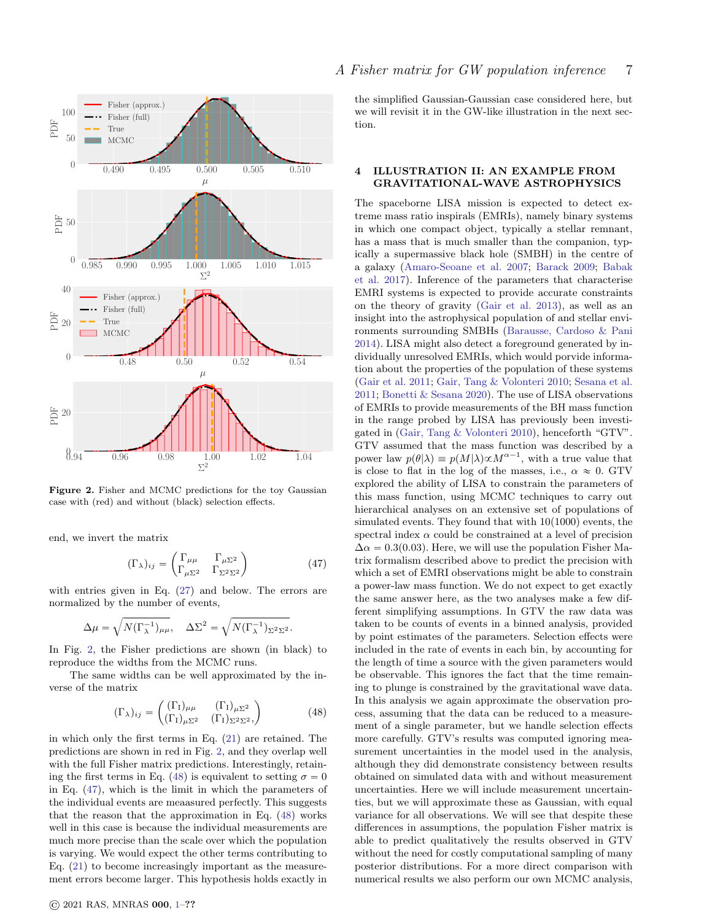<span id="page-6-1"></span>

Figure 2. Fisher and MCMC predictions for the toy Gaussian case with (red) and without (black) selection effects.

end, we invert the matrix

<span id="page-6-3"></span>
$$
(\Gamma_{\lambda})_{ij} = \begin{pmatrix} \Gamma_{\mu\mu} & \Gamma_{\mu\Sigma^2} \\ \Gamma_{\mu\Sigma^2} & \Gamma_{\Sigma^2\Sigma^2} \end{pmatrix}
$$
 (47)

with entries given in Eq. [\(27\)](#page-3-8) and below. The errors are normalized by the number of events,

$$
\Delta \mu = \sqrt{N(\Gamma_{\lambda}^{-1})_{\mu\mu}}, \quad \Delta \Sigma^2 = \sqrt{N(\Gamma_{\lambda}^{-1})_{\Sigma^2 \Sigma^2}}.
$$

In Fig. [2,](#page-6-1) the Fisher predictions are shown (in black) to reproduce the widths from the MCMC runs.

The same widths can be well approximated by the inverse of the matrix

<span id="page-6-2"></span>
$$
(\Gamma_{\lambda})_{ij} = \begin{pmatrix} (\Gamma_{1})_{\mu\mu} & (\Gamma_{1})_{\mu\Sigma^{2}} \\ (\Gamma_{1})_{\mu\Sigma^{2}} & (\Gamma_{1})_{\Sigma^{2}\Sigma^{2}}, \end{pmatrix}
$$
 (48)

in which only the first terms in Eq. [\(21\)](#page-3-1) are retained. The predictions are shown in red in Fig. [2,](#page-6-1) and they overlap well with the full Fisher matrix predictions. Interestingly, retain-ing the first terms in Eq. [\(48\)](#page-6-2) is equivalent to setting  $\sigma = 0$ in Eq. [\(47\)](#page-6-3), which is the limit in which the parameters of the individual events are meaasured perfectly. This suggests that the reason that the approximation in Eq. [\(48\)](#page-6-2) works well in this case is because the individual measurements are much more precise than the scale over which the population is varying. We would expect the other terms contributing to Eq. [\(21\)](#page-3-1) to become increasingly important as the measurement errors become larger. This hypothesis holds exactly in

the simplified Gaussian-Gaussian case considered here, but we will revisit it in the GW-like illustration in the next section.

## <span id="page-6-0"></span>4 ILLUSTRATION II: AN EXAMPLE FROM GRAVITATIONAL-WAVE ASTROPHYSICS

The spaceborne LISA mission is expected to detect extreme mass ratio inspirals (EMRIs), namely binary systems in which one compact object, typically a stellar remnant, has a mass that is much smaller than the companion, typically a supermassive black hole (SMBH) in the centre of a galaxy [\(Amaro-Seoane et al.](#page-9-14) [2007;](#page-9-14) [Barack](#page-9-15) [2009;](#page-9-15) [Babak](#page-9-16) [et al.](#page-9-16) [2017\)](#page-9-16). Inference of the parameters that characterise EMRI systems is expected to provide accurate constraints on the theory of gravity [\(Gair et al.](#page-9-17) [2013\)](#page-9-17), as well as an insight into the astrophysical population of and stellar environments surrounding SMBHs [\(Barausse, Cardoso & Pani](#page-9-18) [2014\)](#page-9-18). LISA might also detect a foreground generated by individually unresolved EMRIs, which would porvide information about the properties of the population of these systems [\(Gair et al.](#page-9-19) [2011;](#page-9-19) [Gair, Tang & Volonteri](#page-9-10) [2010;](#page-9-10) [Sesana et al.](#page-9-20) [2011;](#page-9-20) [Bonetti & Sesana](#page-9-21) [2020\)](#page-9-21). The use of LISA observations of EMRIs to provide measurements of the BH mass function in the range probed by LISA has previously been investigated in [\(Gair, Tang & Volonteri](#page-9-10) [2010\)](#page-9-10), henceforth "GTV". GTV assumed that the mass function was described by a power law  $p(\theta|\lambda) \equiv p(M|\lambda) \propto M^{\alpha-1}$ , with a true value that is close to flat in the log of the masses, i.e.,  $\alpha \approx 0$ . GTV explored the ability of LISA to constrain the parameters of this mass function, using MCMC techniques to carry out hierarchical analyses on an extensive set of populations of simulated events. They found that with 10(1000) events, the spectral index  $\alpha$  could be constrained at a level of precision  $\Delta \alpha = 0.3(0.03)$ . Here, we will use the population Fisher Matrix formalism described above to predict the precision with which a set of EMRI observations might be able to constrain a power-law mass function. We do not expect to get exactly the same answer here, as the two analyses make a few different simplifying assumptions. In GTV the raw data was taken to be counts of events in a binned analysis, provided by point estimates of the parameters. Selection effects were included in the rate of events in each bin, by accounting for the length of time a source with the given parameters would be observable. This ignores the fact that the time remaining to plunge is constrained by the gravitational wave data. In this analysis we again approximate the observation process, assuming that the data can be reduced to a measurement of a single parameter, but we handle selection effects more carefully. GTV's results was computed ignoring measurement uncertainties in the model used in the analysis, although they did demonstrate consistency between results obtained on simulated data with and without measurement uncertainties. Here we will include measurement uncertainties, but we will approximate these as Gaussian, with equal variance for all observations. We will see that despite these differences in assumptions, the population Fisher matrix is able to predict qualitatively the results observed in GTV without the need for costly computational sampling of many posterior distributions. For a more direct comparison with numerical results we also perform our own MCMC analysis,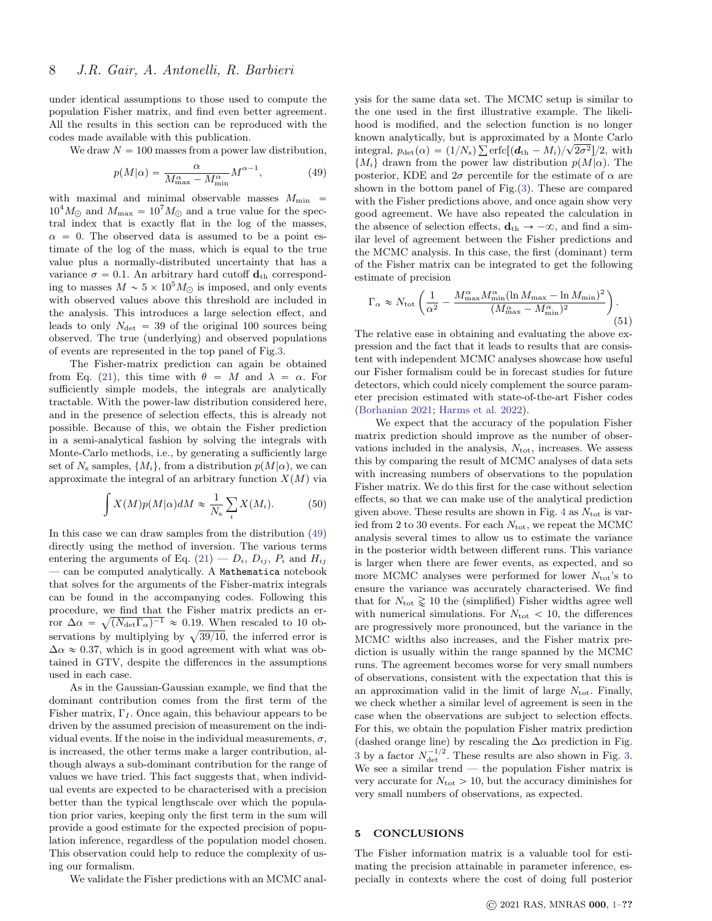under identical assumptions to those used to compute the population Fisher matrix, and find even better agreement. All the results in this section can be reproduced with the codes made available with this publication.

We draw  $N = 100$  masses from a power law distribution,

<span id="page-7-1"></span>
$$
p(M|\alpha) = \frac{\alpha}{M_{\text{max}}^{\alpha} - M_{\text{min}}^{\alpha}} M^{\alpha - 1},
$$
 (49)

with maximal and minimal observable masses  $M_{\text{min}}$  =  $10^4 M_{\odot}$  and  $M_{\text{max}} = 10^7 M_{\odot}$  and a true value for the spectral index that is exactly flat in the log of the masses,  $\alpha = 0$ . The observed data is assumed to be a point estimate of the log of the mass, which is equal to the true value plus a normally-distributed uncertainty that has a variance  $\sigma = 0.1$ . An arbitrary hard cutoff  $d_{th}$  corresponding to masses  $M \sim 5 \times 10^5 M_{\odot}$  is imposed, and only events with observed values above this threshold are included in the analysis. This introduces a large selection effect, and leads to only  $N_{\text{det}} = 39$  of the original 100 sources being observed. The true (underlying) and observed populations of events are represented in the top panel of Fig[.3.](#page-8-0)

The Fisher-matrix prediction can again be obtained from Eq. [\(21\)](#page-3-1), this time with  $\theta = M$  and  $\lambda = \alpha$ . For sufficiently simple models, the integrals are analytically tractable. With the power-law distribution considered here, and in the presence of selection effects, this is already not possible. Because of this, we obtain the Fisher prediction in a semi-analytical fashion by solving the integrals with Monte-Carlo methods, i.e., by generating a sufficiently large set of  $N_s$  samples,  $\{M_i\}$ , from a distribution  $p(M|\alpha)$ , we can approximate the integral of an arbitrary function  $X(M)$  via

$$
\int X(M)p(M|\alpha)dM \approx \frac{1}{N_{\rm s}}\sum_{i} X(M_i). \tag{50}
$$

In this case we can draw samples from the distribution [\(49\)](#page-7-1) directly using the method of inversion. The various terms entering the arguments of Eq.  $(21) - D_i$ ,  $D_{ij}$ ,  $P_i$  and  $H_{ij}$ — can be computed analytically. A Mathematica notebook that solves for the arguments of the Fisher-matrix integrals can be found in the accompanying codes. Following this procedure, we find that the Fisher matrix predicts an error  $\Delta \alpha =$ a  $(N_{\text{det}}\Gamma_\alpha)^{-1} \approx 0.19$ . When rescaled to 10 ob-For  $\Delta \alpha = \sqrt{(N_{\text{det}} \Gamma_{\alpha})^{-1}} \approx 0.19$ . When rescaled to 10 observations by multiplying by  $\sqrt{39/10}$ , the inferred error is  $\Delta \alpha \approx 0.37$ , which is in good agreement with what was obtained in GTV, despite the differences in the assumptions used in each case.

As in the Gaussian-Gaussian example, we find that the dominant contribution comes from the first term of the Fisher matrix,  $\Gamma_I$ . Once again, this behaviour appears to be driven by the assumed precision of measurement on the individual events. If the noise in the individual measurements,  $\sigma$ , is increased, the other terms make a larger contribution, although always a sub-dominant contribution for the range of values we have tried. This fact suggests that, when individual events are expected to be characterised with a precision better than the typical lengthscale over which the population prior varies, keeping only the first term in the sum will provide a good estimate for the expected precision of population inference, regardless of the population model chosen. This observation could help to reduce the complexity of using our formalism.

We validate the Fisher predictions with an MCMC anal-

ysis for the same data set. The MCMC setup is similar to the one used in the first illustrative example. The likelihood is modified, and the selection function is no longer known analytically, but is approximated by a Monte Carlo known analytically, but is approximated by a molte carlo<br>integral,  $p_{\text{det}}(\alpha) = (1/N_s) \sum \text{erfc}[(d_{\text{th}} - M_i)/\sqrt{2\sigma^2}]/2$ , with  $\{M_i\}$  drawn from the power law distribution  $p(M|\alpha)$ . The posterior, KDE and  $2\sigma$  percentile for the estimate of  $\alpha$  are shown in the bottom panel of Fig.[\(3\)](#page-8-0). These are compared with the Fisher predictions above, and once again show very good agreement. We have also repeated the calculation in the absence of selection effects,  $\mathbf{d}_{\text{th}} \rightarrow -\infty$ , and find a similar level of agreement between the Fisher predictions and the MCMC analysis. In this case, the first (dominant) term of the Fisher matrix can be integrated to get the following estimate of precision

<span id="page-7-2"></span>
$$
\Gamma_{\alpha} \approx N_{\text{tot}} \left( \frac{1}{\alpha^2} - \frac{M_{\text{max}}^{\alpha} M_{\text{min}}^{\alpha} (\ln M_{\text{max}} - \ln M_{\text{min}})^2}{(M_{\text{max}}^{\alpha} - M_{\text{min}}^{\alpha})^2} \right). \tag{51}
$$

The relative ease in obtaining and evaluating the above expression and the fact that it leads to results that are consistent with independent MCMC analyses showcase how useful our Fisher formalism could be in forecast studies for future detectors, which could nicely complement the source parameter precision estimated with state-of-the-art Fisher codes [\(Borhanian](#page-9-22) [2021;](#page-9-22) [Harms et al.](#page-9-23) [2022\)](#page-9-23).

We expect that the accuracy of the population Fisher matrix prediction should improve as the number of observations included in the analysis,  $N_{\text{tot}}$ , increases. We assess this by comparing the result of MCMC analyses of data sets with increasing numbers of observations to the population Fisher matrix. We do this first for the case without selection effects, so that we can make use of the analytical prediction given above. These results are shown in Fig. [4](#page-8-1) as  $N_{\text{tot}}$  is varied from 2 to 30 events. For each  $N_{\text{tot}}$ , we repeat the MCMC analysis several times to allow us to estimate the variance in the posterior width between different runs. This variance is larger when there are fewer events, as expected, and so more MCMC analyses were performed for lower  $N_{\text{tot}}$ 's to ensure the variance was accurately characterised. We find that for  $N_{\text{tot}} \gtrsim 10$  the (simplified) Fisher widths agree well with numerical simulations. For  $N_{\text{tot}} < 10$ , the differences are progressively more pronounced, but the variance in the MCMC widths also increases, and the Fisher matrix prediction is usually within the range spanned by the MCMC runs. The agreement becomes worse for very small numbers of observations, consistent with the expectation that this is an approximation valid in the limit of large  $N_{\text{tot}}$ . Finally, we check whether a similar level of agreement is seen in the case when the observations are subject to selection effects. For this, we obtain the population Fisher matrix prediction (dashed orange line) by rescaling the  $\Delta \alpha$  prediction in Fig. [3](#page-8-0) by a factor  $N_{\text{det}}^{-1/2}$ . These results are also shown in Fig. [3.](#page-8-0) We see a similar trend  $-$  the population Fisher matrix is very accurate for  $N_{\text{tot}} > 10$ , but the accuracy diminishes for very small numbers of observations, as expected.

#### <span id="page-7-0"></span>5 CONCLUSIONS

The Fisher information matrix is a valuable tool for estimating the precision attainable in parameter inference, especially in contexts where the cost of doing full posterior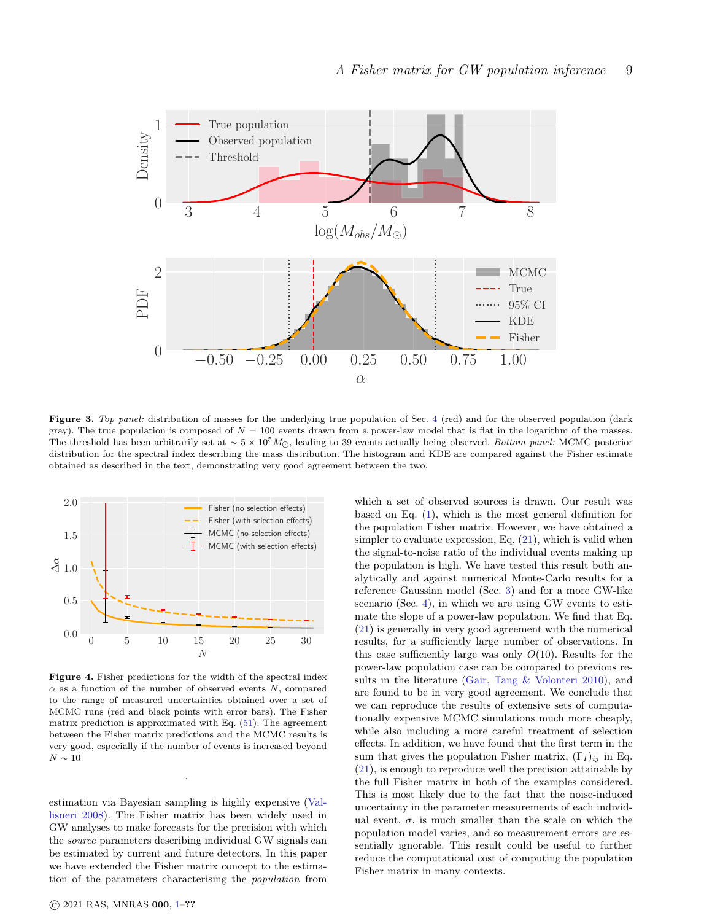<span id="page-8-0"></span>

Figure 3. Top panel: distribution of masses for the underlying true population of Sec. [4](#page-6-0) (red) and for the observed population (dark gray). The true population is composed of  $N = 100$  events drawn from a power-law model that is flat in the logarithm of the masses. The threshold has been arbitrarily set at  $\sim 5 \times 10^5 M_{\odot}$ , leading to 39 events actually being observed. Bottom panel: MCMC posterior distribution for the spectral index describing the mass distribution. The histogram and KDE are compared against the Fisher estimate obtained as described in the text, demonstrating very good agreement between the two.

<span id="page-8-1"></span>

Figure 4. Fisher predictions for the width of the spectral index  $\alpha$  as a function of the number of observed events N, compared to the range of measured uncertainties obtained over a set of MCMC runs (red and black points with error bars). The Fisher matrix prediction is approximated with Eq. [\(51\)](#page-7-2). The agreement between the Fisher matrix predictions and the MCMC results is very good, especially if the number of events is increased beyond  $N$   $\sim$   $10$ 

.

estimation via Bayesian sampling is highly expensive [\(Val](#page-9-8)[lisneri](#page-9-8) [2008\)](#page-9-8). The Fisher matrix has been widely used in GW analyses to make forecasts for the precision with which the source parameters describing individual GW signals can be estimated by current and future detectors. In this paper we have extended the Fisher matrix concept to the estimation of the parameters characterising the population from

© 2021 RAS, MNRAS 000, [1–](#page-0-0)??

which a set of observed sources is drawn. Our result was based on Eq. [\(1\)](#page-0-1), which is the most general definition for the population Fisher matrix. However, we have obtained a simpler to evaluate expression, Eq.  $(21)$ , which is valid when the signal-to-noise ratio of the individual events making up the population is high. We have tested this result both analytically and against numerical Monte-Carlo results for a reference Gaussian model (Sec. [3\)](#page-3-0) and for a more GW-like scenario (Sec. [4\)](#page-6-0), in which we are using GW events to estimate the slope of a power-law population. We find that Eq. [\(21\)](#page-3-1) is generally in very good agreement with the numerical results, for a sufficiently large number of observations. In this case sufficiently large was only  $O(10)$ . Results for the power-law population case can be compared to previous results in the literature [\(Gair, Tang & Volonteri](#page-9-10) [2010\)](#page-9-10), and are found to be in very good agreement. We conclude that we can reproduce the results of extensive sets of computationally expensive MCMC simulations much more cheaply, while also including a more careful treatment of selection effects. In addition, we have found that the first term in the sum that gives the population Fisher matrix,  $(\Gamma_I)_{ij}$  in Eq. [\(21\)](#page-3-1), is enough to reproduce well the precision attainable by the full Fisher matrix in both of the examples considered. This is most likely due to the fact that the noise-induced uncertainty in the parameter measurements of each individual event,  $\sigma$ , is much smaller than the scale on which the population model varies, and so measurement errors are essentially ignorable. This result could be useful to further reduce the computational cost of computing the population Fisher matrix in many contexts.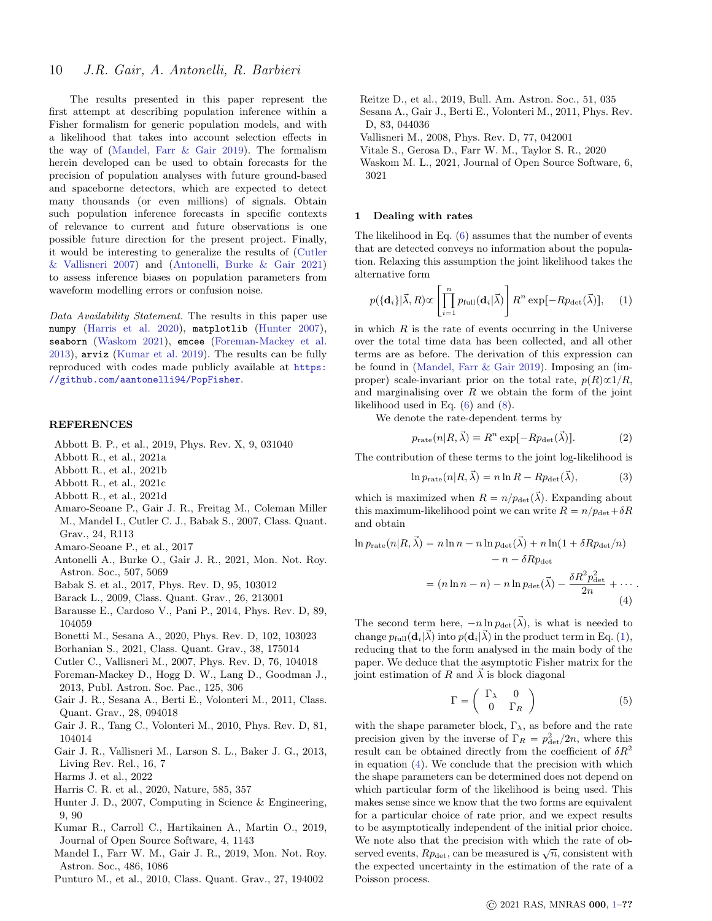The results presented in this paper represent the first attempt at describing population inference within a Fisher formalism for generic population models, and with a likelihood that takes into account selection effects in the way of [\(Mandel, Farr & Gair](#page-9-9) [2019\)](#page-9-9). The formalism herein developed can be used to obtain forecasts for the precision of population analyses with future ground-based and spaceborne detectors, which are expected to detect many thousands (or even millions) of signals. Obtain such population inference forecasts in specific contexts of relevance to current and future observations is one possible future direction for the present project. Finally, it would be interesting to generalize the results of [\(Cutler](#page-9-24) [& Vallisneri](#page-9-24) [2007\)](#page-9-24) and [\(Antonelli, Burke & Gair](#page-9-25) [2021\)](#page-9-25) to assess inference biases on population parameters from waveform modelling errors or confusion noise.

Data Availability Statement. The results in this paper use numpy [\(Harris et al.](#page-9-26) [2020\)](#page-9-26), matplotlib [\(Hunter](#page-9-27) [2007\)](#page-9-27), seaborn [\(Waskom](#page-9-28) [2021\)](#page-9-28), emcee [\(Foreman-Mackey et al.](#page-9-13) [2013\)](#page-9-13), arviz [\(Kumar et al.](#page-9-29) [2019\)](#page-9-29). The results can be fully reproduced with codes made publicly available at [https:](https://github.com/aantonelli94/PopFisher) [//github.com/aantonelli94/PopFisher](https://github.com/aantonelli94/PopFisher).

#### REFERENCES

- <span id="page-9-3"></span>Abbott B. P., et al., 2019, Phys. Rev. X, 9, 031040
- <span id="page-9-4"></span>Abbott R., et al., 2021a
- <span id="page-9-0"></span>Abbott R., et al., 2021b
- <span id="page-9-1"></span>Abbott R., et al., 2021c
- <span id="page-9-2"></span>Abbott R., et al., 2021d
- <span id="page-9-14"></span>Amaro-Seoane P., Gair J. R., Freitag M., Coleman Miller M., Mandel I., Cutler C. J., Babak S., 2007, Class. Quant. Grav., 24, R113
- <span id="page-9-7"></span>Amaro-Seoane P., et al., 2017
- <span id="page-9-25"></span>Antonelli A., Burke O., Gair J. R., 2021, Mon. Not. Roy. Astron. Soc., 507, 5069
- <span id="page-9-16"></span>Babak S. et al., 2017, Phys. Rev. D, 95, 103012
- <span id="page-9-15"></span>Barack L., 2009, Class. Quant. Grav., 26, 213001
- <span id="page-9-18"></span>Barausse E., Cardoso V., Pani P., 2014, Phys. Rev. D, 89, 104059
- <span id="page-9-21"></span>Bonetti M., Sesana A., 2020, Phys. Rev. D, 102, 103023
- <span id="page-9-22"></span>Borhanian S., 2021, Class. Quant. Grav., 38, 175014
- <span id="page-9-24"></span>Cutler C., Vallisneri M., 2007, Phys. Rev. D, 76, 104018
- <span id="page-9-13"></span>Foreman-Mackey D., Hogg D. W., Lang D., Goodman J., 2013, Publ. Astron. Soc. Pac., 125, 306
- <span id="page-9-19"></span>Gair J. R., Sesana A., Berti E., Volonteri M., 2011, Class. Quant. Grav., 28, 094018
- <span id="page-9-10"></span>Gair J. R., Tang C., Volonteri M., 2010, Phys. Rev. D, 81, 104014
- <span id="page-9-17"></span>Gair J. R., Vallisneri M., Larson S. L., Baker J. G., 2013, Living Rev. Rel., 16, 7
- <span id="page-9-23"></span>Harms J. et al., 2022
- <span id="page-9-26"></span>Harris C. R. et al., 2020, Nature, 585, 357
- <span id="page-9-27"></span>Hunter J. D., 2007, Computing in Science & Engineering, 9, 90
- <span id="page-9-29"></span>Kumar R., Carroll C., Hartikainen A., Martin O., 2019, Journal of Open Source Software, 4, 1143
- <span id="page-9-9"></span>Mandel I., Farr W. M., Gair J. R., 2019, Mon. Not. Roy. Astron. Soc., 486, 1086
- <span id="page-9-5"></span>Punturo M., et al., 2010, Class. Quant. Grav., 27, 194002

<span id="page-9-6"></span>Reitze D., et al., 2019, Bull. Am. Astron. Soc., 51, 035

<span id="page-9-20"></span>Sesana A., Gair J., Berti E., Volonteri M., 2011, Phys. Rev. D, 83, 044036

<span id="page-9-8"></span>Vallisneri M., 2008, Phys. Rev. D, 77, 042001

<span id="page-9-12"></span>Vitale S., Gerosa D., Farr W. M., Taylor S. R., 2020

<span id="page-9-28"></span>Waskom M. L., 2021, Journal of Open Source Software, 6, 3021

#### <span id="page-9-11"></span>1 Dealing with rates

The likelihood in Eq. [\(6\)](#page-1-5) assumes that the number of events that are detected conveys no information about the population. Relaxing this assumption the joint likelihood takes the alternative form for the control of the control of the control of the control of the control of the control of the control of the control of the control of the control of the control of the control of the control of the control of the cont

<span id="page-9-30"></span>
$$
p({\lbrace \mathbf{d}_i \rbrace} | \vec{\lambda}, R) \propto \left[ \prod_{i=1}^n p_{\text{full}}(\mathbf{d}_i | \vec{\lambda}) \right] R^n \exp[-R p_{\text{det}}(\vec{\lambda})], \quad (1)
$$

in which  $R$  is the rate of events occurring in the Universe over the total time data has been collected, and all other terms are as before. The derivation of this expression can be found in [\(Mandel, Farr & Gair](#page-9-9) [2019\)](#page-9-9). Imposing an (improper) scale-invariant prior on the total rate,  $p(R)\alpha 1/R$ , and marginalising over  $R$  we obtain the form of the joint likelihood used in Eq. [\(6\)](#page-1-5) and [\(8\)](#page-2-3).

We denote the rate-dependent terms by

$$
p_{\text{rate}}(n|R,\vec{\lambda}) \equiv R^n \exp[-Rp_{\text{det}}(\vec{\lambda})]. \tag{2}
$$

The contribution of these terms to the joint log-likelihood is

$$
\ln p_{\text{rate}}(n|R,\vec{\lambda}) = n \ln R - Rp_{\text{det}}(\vec{\lambda}), \tag{3}
$$

which is maximized when  $R = n/p_{\text{det}}(\vec{\lambda})$ . Expanding about this maximum-likelihood point we can write  $R = n/p_{\text{det}} + \delta R$ and obtain

$$
\ln p_{\text{rate}}(n|R,\vec{\lambda}) = n \ln n - n \ln p_{\text{det}}(\vec{\lambda}) + n \ln(1 + \delta R p_{\text{det}}/n)
$$

$$
- n - \delta R p_{\text{det}}
$$

$$
= (n \ln n - n) - n \ln p_{\text{det}}(\vec{\lambda}) - \frac{\delta R^2 p_{\text{det}}^2}{2n} + \cdots
$$
(4)

The second term here,  $-n \ln p_{\det}(\vec{\lambda})$ , is what is needed to change  $p_{\text{full}}(\mathbf{d}_i|\vec{\lambda})$  into  $p(\mathbf{d}_i|\vec{\lambda})$  in the product term in Eq. [\(1\)](#page-9-30), reducing that to the form analysed in the main body of the paper. We deduce that the asymptotic Fisher matrix for the joint estimation of R and  $\lambda$  is block diagonal

<span id="page-9-31"></span>
$$
\Gamma = \left(\begin{array}{cc} \Gamma_{\lambda} & 0\\ 0 & \Gamma_{R} \end{array}\right) \tag{5}
$$

with the shape parameter block,  $\Gamma_{\lambda}$ , as before and the rate precision given by the inverse of  $\Gamma_R = p_{\text{det}}^2/2n$ , where this result can be obtained directly from the coefficient of  $\delta R^2$ in equation [\(4\)](#page-9-31). We conclude that the precision with which the shape parameters can be determined does not depend on which particular form of the likelihood is being used. This makes sense since we know that the two forms are equivalent for a particular choice of rate prior, and we expect results to be asymptotically independent of the initial prior choice. We note also that the precision with which the rate of obwe note also that the precision with which the rate of ob-<br>served events,  $Rp_{\text{det}}$ , can be measured is  $\sqrt{n}$ , consistent with the expected uncertainty in the estimation of the rate of a Poisson process.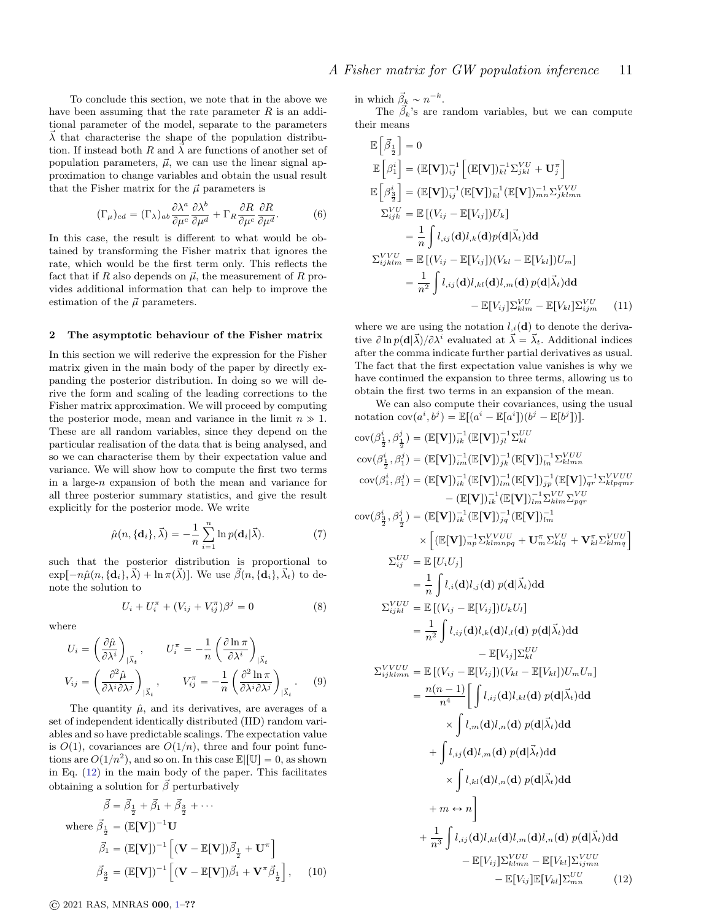To conclude this section, we note that in the above we have been assuming that the rate parameter  $R$  is an additional parameter of the model, separate to the parameters  $\lambda$  that characterise the shape of the population distribution. If instead both R and  $\lambda$  are functions of another set of population parameters,  $\vec{\mu}$ , we can use the linear signal approximation to change variables and obtain the usual result that the Fisher matrix for the  $\vec{\mu}$  parameters is

$$
(\Gamma_{\mu})_{cd} = (\Gamma_{\lambda})_{ab} \frac{\partial \lambda^{a}}{\partial \mu^{c}} \frac{\partial \lambda^{b}}{\partial \mu^{d}} + \Gamma_{R} \frac{\partial R}{\partial \mu^{c}} \frac{\partial R}{\partial \mu^{d}}.
$$
 (6)

In this case, the result is different to what would be obtained by transforming the Fisher matrix that ignores the rate, which would be the first term only. This reflects the fact that if R also depends on  $\vec{\mu}$ , the measurement of R provides additional information that can help to improve the estimation of the  $\vec{\mu}$  parameters.

#### <span id="page-10-0"></span>2 The asymptotic behaviour of the Fisher matrix

In this section we will rederive the expression for the Fisher matrix given in the main body of the paper by directly expanding the posterior distribution. In doing so we will derive the form and scaling of the leading corrections to the Fisher matrix approximation. We will proceed by computing the posterior mode, mean and variance in the limit  $n \gg 1$ . These are all random variables, since they depend on the particular realisation of the data that is being analysed, and so we can characterise them by their expectation value and variance. We will show how to compute the first two terms in a large-n expansion of both the mean and variance for all three posterior summary statistics, and give the result explicitly for the posterior mode. We write

$$
\hat{\mu}(n,\{\mathbf{d}_i\}, \vec{\lambda}) = -\frac{1}{n} \sum_{i=1}^n \ln p(\mathbf{d}_i|\vec{\lambda}). \tag{7}
$$

such that the posterior distribution is proportional to  $\exp[-n\hat{\mu}(n,\{\mathbf{d}_i\}, \vec{\lambda}) + \ln \pi(\vec{\lambda})]$ . We use  $\vec{\beta}(n, \{\mathbf{d}_i\}, \vec{\lambda}_t)$  to denote the solution to

$$
U_i + U_i^{\pi} + (V_{ij} + V_{ij}^{\pi})\beta^j = 0
$$
\n(8)

where

$$
U_i = \left(\frac{\partial \hat{\mu}}{\partial \lambda^i}\right)_{|\vec{\lambda}_t}, \qquad U_i^{\pi} = -\frac{1}{n} \left(\frac{\partial \ln \pi}{\partial \lambda^i}\right)_{|\vec{\lambda}_t}
$$

$$
V_{ij} = \left(\frac{\partial^2 \hat{\mu}}{\partial \lambda^i \partial \lambda^j}\right)_{|\vec{\lambda}_t}, \qquad V_{ij}^{\pi} = -\frac{1}{n} \left(\frac{\partial^2 \ln \pi}{\partial \lambda^i \partial \lambda^j}\right)_{|\vec{\lambda}_t}.
$$
(9)

The quantity  $\hat{\mu}$ , and its derivatives, are averages of a set of independent identically distributed (IID) random variables and so have predictable scalings. The expectation value is  $O(1)$ , covariances are  $O(1/n)$ , three and four point functions are  $O(1/n^2)$ , and so on. In this case  $\mathbb{E}[[\mathbb{U}]=0$ , as shown in Eq. [\(12\)](#page-2-0) in the main body of the paper. This facilitates obtaining a solution for  $\vec{\beta}$  perturbatively

$$
\vec{\beta} = \vec{\beta}_{\frac{1}{2}} + \vec{\beta}_{1} + \vec{\beta}_{\frac{3}{2}} + \cdots
$$
  
where  $\vec{\beta}_{\frac{1}{2}} = (\mathbb{E}[\mathbf{V}])^{-1}\mathbf{U}$   

$$
\vec{\beta}_{1} = (\mathbb{E}[\mathbf{V}])^{-1} \left[ (\mathbf{V} - \mathbb{E}[\mathbf{V}]) \vec{\beta}_{\frac{1}{2}} + \mathbf{U}^{\pi} \right]
$$

$$
\vec{\beta}_{\frac{3}{2}} = (\mathbb{E}[\mathbf{V}])^{-1} \left[ (\mathbf{V} - \mathbb{E}[\mathbf{V}]) \vec{\beta}_{1} + \mathbf{V}^{\pi} \vec{\beta}_{\frac{1}{2}} \right], \quad (10)
$$

in which  $\vec{\beta}_k \sim n^{-k}$ .

The  $\vec{\beta}_k$ 's are random variables, but we can compute their means " ı

$$
\mathbb{E}\left[\vec{\beta}_{\frac{1}{2}}\right] = 0
$$
\n
$$
\mathbb{E}\left[\beta_{\frac{1}{2}}^{i}\right] = \left(\mathbb{E}[\mathbf{V}]\right)_{ij}^{-1} \left[\left(\mathbb{E}[\mathbf{V}]\right)_{kl}^{-1} \Sigma_{jkl}^{VU} + \mathbf{U}_{j}^{\pi}\right]
$$
\n
$$
\mathbb{E}\left[\beta_{\frac{3}{2}}^{i}\right] = \left(\mathbb{E}[\mathbf{V}]\right)_{ij}^{-1} \left(\mathbb{E}[\mathbf{V}]\right)_{kl}^{-1} \left(\mathbb{E}[\mathbf{V}]\right)_{mn}^{-1} \Sigma_{jklmn}^{VVV}
$$
\n
$$
\Sigma_{ijk}^{VU} = \mathbb{E}\left[(V_{ij} - \mathbb{E}[V_{ij}])U_{k}\right]
$$
\n
$$
= \frac{1}{n} \int l_{,ij}(\mathbf{d})l_{,k}(\mathbf{d})p(\mathbf{d}|\vec{\lambda}_{t})d\mathbf{d}
$$
\n
$$
\Sigma_{ijklm}^{VVU} = \mathbb{E}\left[(V_{ij} - \mathbb{E}[V_{ij}])(V_{kl} - \mathbb{E}[V_{kl}])U_{m}\right]
$$
\n
$$
= \frac{1}{n^{2}} \int l_{,ij}(\mathbf{d})l_{,kl}(\mathbf{d})l_{,m}(\mathbf{d})p(\mathbf{d}|\vec{\lambda}_{t})d\mathbf{d}
$$
\n
$$
- \mathbb{E}[V_{ij}]\Sigma_{klm}^{VU} - \mathbb{E}[V_{kl}]\Sigma_{ijm}^{VU} \qquad (11)
$$

where we are using the notation  $l_{i}(\mathbf{d})$  to denote the derivative  $\partial \ln p(\mathbf{d}|\vec{\lambda})/\partial \lambda^i$  evaluated at  $\vec{\lambda} = \vec{\lambda}_t$ . Additional indices after the comma indicate further partial derivatives as usual. The fact that the first expectation value vanishes is why we have continued the expansion to three terms, allowing us to obtain the first two terms in an expansion of the mean.

We can also compute their covariances, using the usual notation  $cov(a^i, b^j) = \mathbb{E}[(a^i - \mathbb{E}[a^i])(b^j - \mathbb{E}[b^j])].$ 

cov(
$$
\beta_{\frac{1}{2}}^{i}, \beta_{\frac{1}{2}}^{j}
$$
) = ( $\mathbb{E}[V]\right)_{in}^{-1} \mathbb{E}[V]\right)_{ij}^{-1} \Sigma_{kl}^{UU}$   
\n
$$
cov(\beta_{\frac{1}{2}}^{i}, \beta_{1}^{j}) = (\mathbb{E}[V]\right)_{in}^{-1} (\mathbb{E}[V]\right)_{jk}^{-1} (\mathbb{E}[V]\right)_{in}^{-1} \Sigma_{klmn}^{VUU}
$$
\n
$$
cov(\beta_{1}^{i}, \beta_{1}^{j}) = (\mathbb{E}[V]\right)_{ik}^{-1} (\mathbb{E}[V]\right)_{in}^{-1} (\mathbb{E}[V]\right)_{ij}^{-1} (\mathbb{E}[V]\right)_{qr}^{-1} \Sigma_{klpqmr}^{VUU}
$$
\n
$$
- (\mathbb{E}[V]\right)_{ik}^{-1} (\mathbb{E}[V]\right)_{in}^{-1} \Sigma_{klm}^{VU} \Sigma_{pqr}^{VU}
$$
\n
$$
cov(\beta_{\frac{3}{2}}^{i}, \beta_{\frac{1}{2}}^{j}) = (\mathbb{E}[V]\right)_{ik}^{-1} (\mathbb{E}[V]\right)_{jq}^{-1} (\mathbb{E}[V]\right)_{ln}^{-1}
$$
\n
$$
\times \left[ (\mathbb{E}[V]\right)_{np}^{-1} \Sigma_{klmppq}^{VUU} + U_{np}^{\pi} \Sigma_{klq}^{VUU} + V_{kl}^{\pi} \Sigma_{klmq}^{VUU} \right]
$$
\n
$$
= \frac{1}{n} \int l_{,i}(\mathbf{d})l_{,j}(\mathbf{d}) p(\mathbf{d}|\vec{\lambda}_{t}) d\mathbf{d}
$$
\n
$$
\Sigma_{ijklmn}^{VUU} = \mathbb{E}[(V_{ij} - \mathbb{E}[V_{ij}])U_{k}U_{l}]
$$
\n
$$
= \frac{1}{n^{2}} \int l_{,ij}(\mathbf{d})l_{,kl}(\mathbf{d}) p(\mathbf{d}|\vec{\lambda}_{t}) d\mathbf{d}
$$
\n
$$
- \mathbb{E}[V_{ij}]\Sigma_{kl}^{UU}
$$
\n
$$
\Sigma_{ijklmn}^{VUU} = \mathbb{E}[(V_{ij} - \mathbb{E}[V_{ij}])(V_{kl} - \mathbb{E}[V_{kl}])U_{m}U_{
$$

© 2021 RAS, MNRAS 000, [1–](#page-0-0)??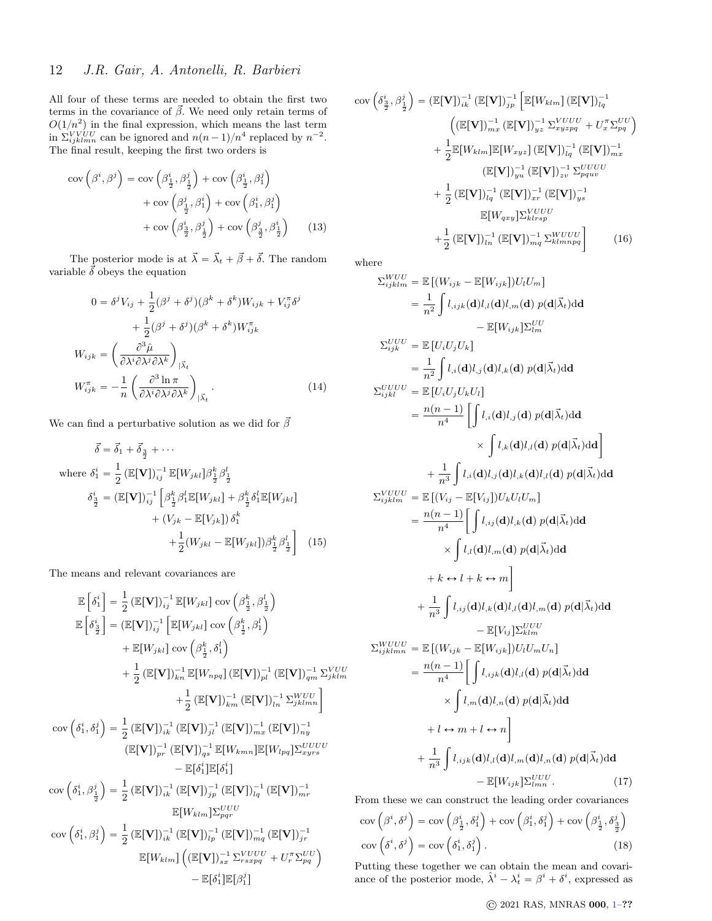All four of these terms are needed to obtain the first two terms in the covariance of  $\vec{\beta}$ . We need only retain terms of  $O(1/n^2)$  in the final expression, which means the last term in  $\Sigma_{ijklmn}^{VVUU}$  can be ignored and  $n(n-1)/n^4$  replaced by  $n^{-2}$ . The final result, keeping the first two orders is

$$
\text{cov}\left(\beta^{i}, \beta^{j}\right) = \text{cov}\left(\beta^{i}_{\frac{1}{2}}, \beta^{j}_{\frac{1}{2}}\right) + \text{cov}\left(\beta^{i}_{\frac{1}{2}}, \beta^{j}_{1}\right) + \text{cov}\left(\beta^{j}_{\frac{1}{2}}, \beta^{i}_{1}\right) + \text{cov}\left(\beta^{i}_{1}, \beta^{j}_{1}\right) + \text{cov}\left(\beta^{i}_{\frac{3}{2}}, \beta^{j}_{\frac{1}{2}}\right) + \text{cov}\left(\beta^{i}_{\frac{3}{2}}, \beta^{i}_{\frac{1}{2}}\right)
$$
(13)

The posterior mode is at  $\vec{\lambda} = \vec{\lambda}_t + \vec{\beta} + \vec{\delta}$ . The random variable  $\vec{\delta}$  obeys the equation

$$
0 = \delta^{j} V_{ij} + \frac{1}{2} (\beta^{j} + \delta^{j}) (\beta^{k} + \delta^{k}) W_{ijk} + V_{ij}^{\pi} \delta^{j}
$$

$$
+ \frac{1}{2} (\beta^{j} + \delta^{j}) (\beta^{k} + \delta^{k}) W_{ijk}^{\pi}
$$

$$
W_{ijk} = \left( \frac{\partial^{3} \hat{\mu}}{\partial \lambda^{i} \partial \lambda^{j} \partial \lambda^{k}} \right)_{|\vec{\lambda}_{t}}
$$

$$
W_{ijk}^{\pi} = -\frac{1}{n} \left( \frac{\partial^{3} \ln \pi}{\partial \lambda^{i} \partial \lambda^{j} \partial \lambda^{k}} \right)_{|\vec{\lambda}_{t}}.
$$
(14)

We can find a perturbative solution as we did for  $\vec{\beta}$ 

$$
\vec{\delta} = \vec{\delta}_1 + \vec{\delta}_{\frac{3}{2}} + \cdots
$$
  
\nwhere  $\delta_1^i = \frac{1}{2} (\mathbb{E}[\mathbf{V}])_{ij}^{-1} \mathbb{E}[W_{jkl}]\beta_{\frac{1}{2}}^k \beta_{\frac{1}{2}}^l$   
\n $\delta_{\frac{3}{2}}^i = (\mathbb{E}[\mathbf{V}])_{ij}^{-1} \left[\beta_{\frac{1}{2}}^k \beta_1^l \mathbb{E}[W_{jkl}] + \beta_{\frac{1}{2}}^k \delta_1^l \mathbb{E}[W_{jkl}] + (V_{jk} - \mathbb{E}[V_{jk}])\delta_1^k + \frac{1}{2}(W_{jkl} - \mathbb{E}[W_{jkl}])\beta_{\frac{1}{2}}^k \beta_{\frac{1}{2}}^l \right]$  (15)

The means and relevant covariances are

$$
\mathbb{E}\left[\delta_{1}^{i}\right] = \frac{1}{2} \left(\mathbb{E}[\mathbf{V}]\right)_{ij}^{-1} \mathbb{E}[W_{jkl}] \operatorname{cov}\left(\beta_{\frac{1}{2}}^{k}, \beta_{\frac{1}{2}}^{l}\right) \n\mathbb{E}\left[\delta_{\frac{3}{2}}^{i}\right] = \left(\mathbb{E}[\mathbf{V}]\right)_{ij}^{-1} \left[\mathbb{E}[W_{jkl}] \operatorname{cov}\left(\beta_{\frac{1}{2}}^{k}, \beta_{1}^{l}\right) \n+ \mathbb{E}[W_{jkl}] \operatorname{cov}\left(\beta_{\frac{1}{2}}^{k}, \delta_{1}^{l}\right) \n+ \frac{1}{2} \left(\mathbb{E}[\mathbf{V}]\right)_{kn}^{-1} \mathbb{E}[W_{npq}] \left(\mathbb{E}[\mathbf{V}]\right)_{pl}^{-1} \left(\mathbb{E}[\mathbf{V}]\right)_{qm}^{-1} \Sigma_{jklm}^{VUU} \n+ \frac{1}{2} \left(\mathbb{E}[\mathbf{V}]\right)_{kn}^{-1} \left(\mathbb{E}[\mathbf{V}]\right)_{ln}^{-1} \Sigma_{jklmn}^{WUU} \n+ \frac{1}{2} \left(\mathbb{E}[\mathbf{V}]\right)_{ik}^{-1} \left(\mathbb{E}[\mathbf{V}]\right)_{nl}^{-1} \left(\mathbb{E}[\mathbf{V}]\right)_{nl}^{-1} \sum_{jklmn}^{WUU} \n- \mathbb{E}[\delta_{1}^{i}]\mathbb{E}[\delta_{1}^{i}] \n\operatorname{cov}\left(\delta_{1}^{i}, \beta_{\frac{1}{2}}^{i}\right) = \frac{1}{2} \left(\mathbb{E}[\mathbf{V}]\right)_{ik}^{-1} \left(\mathbb{E}[\mathbf{V}]\right)_{lp}^{-1} \left(\mathbb{E}[\mathbf{V}]\right)_{lq}^{-1} \left(\mathbb{E}[\mathbf{V}]\right)_{nl}^{-1} \n\operatorname{cov}\left(\delta_{1}^{i}, \beta_{\frac{1}{2}}^{i}\right) = \frac{1}{2} \left(\mathbb{E}[\mathbf{V}]\right)_{ik}^{-1} \left(\mathbb{E}[\mathbf{V}]\right)_{il}^{-1} \left(\mathbb{E
$$

$$
\text{cov}\left(\delta_{\frac{3}{2}}^{i}, \beta_{\frac{1}{2}}^{j}\right) = \left(\mathbb{E}[\mathbf{V}]\right)_{ik}^{-1} \left(\mathbb{E}[\mathbf{V}]\right)_{jp}^{-1} \left[\mathbb{E}[W_{klm}]\left(\mathbb{E}[\mathbf{V}]\right)_{lq}^{-1} \right]
$$

$$
\left(\left(\mathbb{E}[\mathbf{V}]\right)_{mx}^{-1} \left(\mathbb{E}[\mathbf{V}]\right)_{yz}^{-1} \Sigma_{xyzpq}^{VUUU} + U_x^{\pi} \Sigma_{pq}^{UU} \right)
$$

$$
+ \frac{1}{2} \mathbb{E}[W_{klm}]\mathbb{E}[W_{xyz}]\left(\mathbb{E}[\mathbf{V}]\right)_{lq}^{-1} \left(\mathbb{E}[\mathbf{V}]\right)_{mx}^{-1}
$$

$$
\left(\mathbb{E}[\mathbf{V}]\right)_{yu}^{-1} \left(\mathbb{E}[\mathbf{V}]\right)_{zx}^{-1} \Sigma_{pquv}^{UUUU}
$$

$$
+ \frac{1}{2} \left(\mathbb{E}[\mathbf{V}]\right)_{lq}^{-1} \left(\mathbb{E}[\mathbf{V}]\right)_{xr}^{-1} \left(\mathbb{E}[\mathbf{V}]\right)_{ys}^{-1}
$$

$$
\mathbb{E}[W_{qxy}]\Sigma_{klrsp}^{VUUU}
$$

$$
+ \frac{1}{2} \left(\mathbb{E}[\mathbf{V}]\right)_{ln}^{-1} \left(\mathbb{E}[\mathbf{V}]\right)_{mq}^{-1} \Sigma_{klmnpq}^{WUUU} \right] \qquad (16)
$$

where

$$
\Sigma_{ijklm}^{WUU} = \mathbb{E}[(W_{ijk} - \mathbb{E}[W_{ijk}])U_lU_m]
$$
  
\n
$$
= \frac{1}{n^2} \int l_{,ijk}(\mathbf{d})l_{,l}(\mathbf{d})l_{,m}(\mathbf{d}) p(\mathbf{d}|\vec{\lambda}_t) d\mathbf{d}
$$
  
\n
$$
- \mathbb{E}[W_{ijk}] \Sigma_{im}^{UU}
$$
  
\n
$$
\Sigma_{ijk}^{UUU} = \mathbb{E}[U_iU_jU_k]
$$
  
\n
$$
= \frac{1}{n^2} \int l_{,i}(\mathbf{d})l_{,j}(\mathbf{d})p(\mathbf{d}|\vec{\lambda}_t) d\mathbf{d}
$$
  
\n
$$
\Sigma_{ijkl}^{UUU} = \mathbb{E}[U_iU_jU_kU_l]
$$
  
\n
$$
= \frac{n(n-1)}{n^4} \left[ \int l_{,i}(\mathbf{d})l_{,j}(\mathbf{d}) p(\mathbf{d}|\vec{\lambda}_t) d\mathbf{d} \times \int l_{,k}(\mathbf{d})l_{,l}(\mathbf{d}) p(\mathbf{d}|\vec{\lambda}_t) d\mathbf{d} \times \int l_{,k}(\mathbf{d})l_{,j}(\mathbf{d})l_{,k}(\mathbf{d})l_{,l}(\mathbf{d}) p(\mathbf{d}|\vec{\lambda}_t) d\mathbf{d} \times \int l_{,k}(\mathbf{d})l_{,j}(\mathbf{d})l_{,k}(\mathbf{d})p(\mathbf{d}|\vec{\lambda}_t) d\mathbf{d} \times \int l_{,l}(\mathbf{d})l_{,j}(\mathbf{d})l_{,k}(\mathbf{d}) p(\mathbf{d}|\vec{\lambda}_t) d\mathbf{d} \times \int l_{,l}(\mathbf{d})l_{,m}(\mathbf{d}) p(\mathbf{d}|\vec{\lambda}_t) d\mathbf{d} \times \int l_{,l}(\mathbf{d})l_{,m}(\mathbf{d}) p(\mathbf{d}|\vec{\lambda}_t) d\mathbf{d} \times \int l_{,l}(\mathbf{d})l_{,m}(\mathbf{d}) p(\mathbf{d}|\vec{\lambda}_t) d\mathbf{d} \times \int l_{,l}(\mathbf{d})l_{,k}(\mathbf{d})l_{,l}(\mathbf{
$$

From these we can construct the leading order covariances  
\n
$$
cov\left(\beta^i, \delta^j\right) = cov\left(\beta^i_{\frac{1}{2}}, \delta^j_{1}\right) + cov\left(\beta^i_{1}, \delta^j_{1}\right) + cov\left(\beta^i_{\frac{1}{2}}, \delta^j_{\frac{3}{2}}\right)
$$
\n
$$
cov\left(\delta^i, \delta^j\right) = cov\left(\delta^i_{1}, \delta^j_{1}\right). \tag{18}
$$

Putting these together we can obtain the mean and covariance of the posterior mode,  $\hat{\lambda}^i - \lambda_t^i = \beta^i + \delta^i$ , expressed as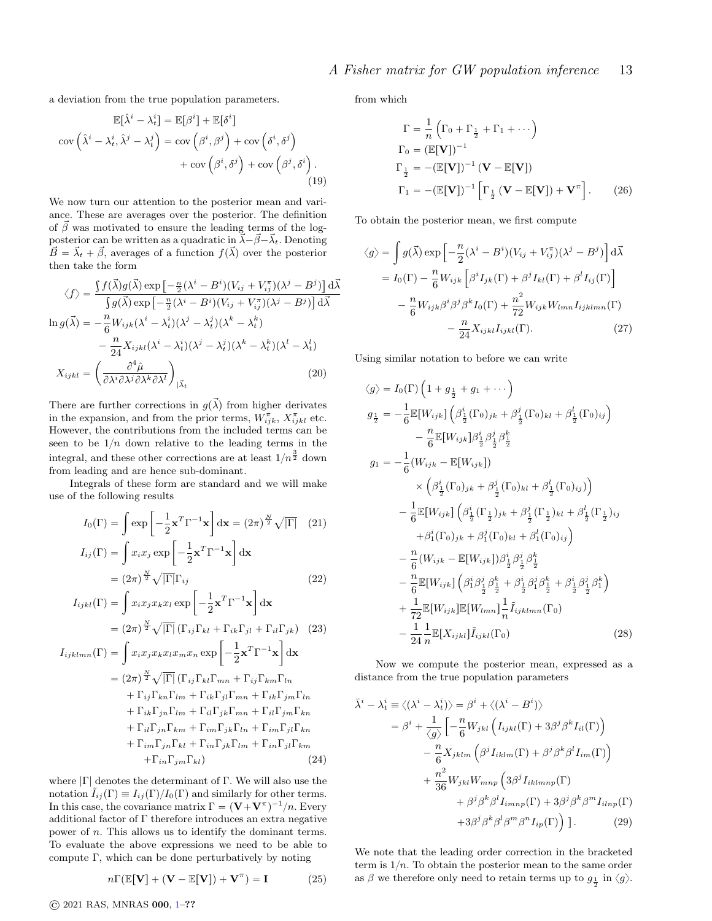a deviation from the true population parameters.

$$
\mathbb{E}[\hat{\lambda}^i - \lambda_t^i] = \mathbb{E}[\beta^i] + \mathbb{E}[\delta^i]
$$
  
\n
$$
\text{cov}(\hat{\lambda}^i - \lambda_t^i, \hat{\lambda}^j - \lambda_t^j) = \text{cov}(\beta^i, \beta^j) + \text{cov}(\delta^i, \delta^j)
$$
  
\n
$$
+ \text{cov}(\beta^i, \delta^j) + \text{cov}(\beta^j, \delta^i).
$$
\n(19)

We now turn our attention to the posterior mean and variance. These are averages over the posterior. The definition of  $\vec{\beta}$  was motivated to ensure the leading terms of the logposterior can be written as a quadratic in  $\vec{\lambda} - \vec{\beta} - \vec{\lambda}_t$ . Denoting  $\vec{B} = \vec{\lambda}_t + \vec{\beta}$ , averages of a function  $f(\vec{\lambda})$  over the posterior then take the form

$$
\langle f \rangle = \frac{\int f(\vec{\lambda})g(\vec{\lambda})\exp\left[-\frac{n}{2}(\lambda^{i}-B^{i})(V_{ij}+V_{ij}^{\pi})(\lambda^{j}-B^{j})\right]\mathrm{d}\vec{\lambda}}{\int g(\vec{\lambda})\exp\left[-\frac{n}{2}(\lambda^{i}-B^{i})(V_{ij}+V_{ij}^{\pi})(\lambda^{j}-B^{j})\right]\mathrm{d}\vec{\lambda}}
$$

$$
\ln g(\vec{\lambda}) = -\frac{n}{6}W_{ijk}(\lambda^{i}-\lambda_{i}^{i})(\lambda^{j}-\lambda_{i}^{j})(\lambda^{k}-\lambda_{k}^{k})
$$

$$
-\frac{n}{24}X_{ijkl}(\lambda^{i}-\lambda_{i}^{i})(\lambda^{j}-\lambda_{i}^{j})(\lambda^{k}-\lambda_{k}^{k})(\lambda^{l}-\lambda_{k}^{l})
$$

$$
X_{ijkl} = \left(\frac{\partial^{4}\hat{\mu}}{\partial\lambda^{i}\partial\lambda^{j}\partial\lambda^{k}\partial\lambda^{l}}\right)_{|\vec{\lambda}_{t}}
$$
(20)

There are further corrections in  $g(\vec{\lambda})$  from higher derivates in the expansion, and from the prior terms,  $W_{ijk}^{\pi}$ ,  $X_{ijkl}^{\pi}$  etc. However, the contributions from the included terms can be seen to be  $1/n$  down relative to the leading terms in the integral, and these other corrections are at least  $1/n^{\frac{3}{2}}$  down from leading and are hence sub-dominant.

Integrals of these form are standard and we will make use of the following results

$$
I_0(\Gamma) = \int \exp\left[-\frac{1}{2}\mathbf{x}^T\Gamma^{-1}\mathbf{x}\right] d\mathbf{x} = (2\pi)^{\frac{N}{2}}\sqrt{|\Gamma|} \quad (21)
$$
  
\n
$$
I_{ij}(\Gamma) = \int x_i x_j \exp\left[-\frac{1}{2}\mathbf{x}^T\Gamma^{-1}\mathbf{x}\right] d\mathbf{x}
$$
  
\n
$$
= (2\pi)^{\frac{N}{2}}\sqrt{|\Gamma|}\Gamma_{ij} \qquad (22)
$$
  
\n
$$
I_{ijkl}(\Gamma) = \int x_i x_j x_k x_l \exp\left[-\frac{1}{2}\mathbf{x}^T\Gamma^{-1}\mathbf{x}\right] d\mathbf{x}
$$
  
\n
$$
= (2\pi)^{\frac{N}{2}}\sqrt{|\Gamma|}(\Gamma_{ij}\Gamma_{kl} + \Gamma_{ik}\Gamma_{jl} + \Gamma_{il}\Gamma_{jk}) \quad (23)
$$
  
\n
$$
I_{ijklmn}(\Gamma) = \int x_i x_j x_k x_l x_m x_n \exp\left[-\frac{1}{2}\mathbf{x}^T\Gamma^{-1}\mathbf{x}\right] d\mathbf{x}
$$
  
\n
$$
= (2\pi)^{\frac{N}{2}}\sqrt{|\Gamma|}(\Gamma_{ij}\Gamma_{kl}\Gamma_{mn} + \Gamma_{ij}\Gamma_{km}\Gamma_{ln}
$$
  
\n
$$
+ \Gamma_{ij}\Gamma_{kn}\Gamma_{lm} + \Gamma_{ik}\Gamma_{jl}\Gamma_{mn} + \Gamma_{ik}\Gamma_{jm}\Gamma_{ln}
$$
  
\n
$$
+ \Gamma_{ik}\Gamma_{jn}\Gamma_{lm} + \Gamma_{il}\Gamma_{jk}\Gamma_{mn} + \Gamma_{il}\Gamma_{jm}\Gamma_{kn}
$$
  
\n
$$
+ \Gamma_{il}\Gamma_{jn}\Gamma_{km} + \Gamma_{im}\Gamma_{jk}\Gamma_{ln} + \Gamma_{im}\Gamma_{jl}\Gamma_{kn}
$$

where  $|\Gamma|$  denotes the determinant of  $\Gamma.$  We will also use the notation  $\tilde{I}_{ij}(\Gamma) \equiv I_{ij}(\Gamma)/I_0(\Gamma)$  and similarly for other terms. In this case, the covariance matrix  $\Gamma = (\mathbf{V} + \mathbf{V}^{\pi})^{-1}/n$ . Every additional factor of Γ therefore introduces an extra negative power of n. This allows us to identify the dominant terms. To evaluate the above expressions we need to be able to compute Γ, which can be done perturbatively by noting

$$
n\Gamma(\mathbb{E}[\mathbf{V}] + (\mathbf{V} - \mathbb{E}[\mathbf{V}]) + \mathbf{V}^{\pi}) = \mathbf{I}
$$
 (25)

 $+ \ \Gamma_{im} \Gamma_{jn} \Gamma_{kl} + \Gamma_{in} \Gamma_{jk} \Gamma_{lm} + \Gamma_{in} \Gamma_{jl} \Gamma_{km}$ 

 $+\Gamma_{in}\Gamma_{jm}\Gamma_{kl}$  (24)

from which

$$
\Gamma = \frac{1}{n} \left( \Gamma_0 + \Gamma_{\frac{1}{2}} + \Gamma_1 + \cdots \right)
$$
  
\n
$$
\Gamma_0 = (\mathbb{E}[\mathbf{V}])^{-1}
$$
  
\n
$$
\Gamma_{\frac{1}{2}} = -(\mathbb{E}[\mathbf{V}])^{-1} (\mathbf{V} - \mathbb{E}[\mathbf{V}])
$$
  
\n
$$
\Gamma_1 = -(\mathbb{E}[\mathbf{V}])^{-1} \left[ \Gamma_{\frac{1}{2}} (\mathbf{V} - \mathbb{E}[\mathbf{V}]) + \mathbf{V}^{\pi} \right].
$$
 (26)

To obtain the posterior mean, we first compute

$$
\langle g \rangle = \int g(\vec{\lambda}) \exp\left[-\frac{n}{2}(\lambda^{i} - B^{i})(V_{ij} + V_{ij}^{\pi})(\lambda^{j} - B^{j})\right] d\vec{\lambda}
$$
  
\n
$$
= I_{0}(\Gamma) - \frac{n}{6} W_{ijk} \left[\beta^{i} I_{jk}(\Gamma) + \beta^{j} I_{kl}(\Gamma) + \beta^{l} I_{ij}(\Gamma)\right]
$$
  
\n
$$
- \frac{n}{6} W_{ijk} \beta^{i} \beta^{j} \beta^{k} I_{0}(\Gamma) + \frac{n^{2}}{72} W_{ijk} W_{lmn} I_{ijklmn}(\Gamma)
$$
  
\n
$$
- \frac{n}{24} X_{ijkl} I_{ijkl}(\Gamma). \tag{27}
$$

Using similar notation to before we can write

$$
\langle g \rangle = I_0(\Gamma) \left( 1 + g_{\frac{1}{2}} + g_1 + \cdots \right)
$$
  
\n
$$
g_{\frac{1}{2}} = -\frac{1}{6} \mathbb{E}[W_{ijk}] \left( \beta_{\frac{1}{2}}^i (\Gamma_0)_{jk} + \beta_{\frac{1}{2}}^i (\Gamma_0)_{kl} + \beta_{\frac{1}{2}}^l (\Gamma_0)_{ij} \right)
$$
  
\n
$$
- \frac{n}{6} \mathbb{E}[W_{ijk}] \beta_{\frac{1}{2}}^i \beta_{\frac{1}{2}}^j \beta_{\frac{1}{2}}^k
$$
  
\n
$$
g_1 = -\frac{1}{6} (W_{ijk} - \mathbb{E}[W_{ijk}])
$$
  
\n
$$
\times \left( \beta_{\frac{1}{2}}^i (\Gamma_0)_{jk} + \beta_{\frac{1}{2}}^i (\Gamma_0)_{kl} + \beta_{\frac{1}{2}}^l (\Gamma_0)_{ij} \right)
$$
  
\n
$$
- \frac{1}{6} \mathbb{E}[W_{ijk}] \left( \beta_{\frac{1}{2}}^i (\Gamma_{\frac{1}{2}})_{jk} + \beta_{\frac{1}{2}}^j (\Gamma_{\frac{1}{2}})_{kl} + \beta_{\frac{1}{2}}^l (\Gamma_{\frac{1}{2}})_{ij}
$$
  
\n
$$
+ \beta_{1}^i (\Gamma_0)_{jk} + \beta_{1}^j (\Gamma_0)_{kl} + \beta_{1}^l (\Gamma_0)_{ij} \right)
$$
  
\n
$$
- \frac{n}{6} (W_{ijk} - \mathbb{E}[W_{ijk}]) \beta_{\frac{1}{2}}^i \beta_{\frac{1}{2}}^j \beta_{\frac{1}{2}}^k
$$
  
\n
$$
- \frac{n}{6} \mathbb{E}[W_{ijk}] \left( \beta_1^i \beta_{\frac{1}{2}}^i \beta_{\frac{1}{2}}^k + \beta_{\frac{1}{2}}^i \beta_1^j \beta_{\frac{1}{2}}^k + \beta_{\frac{1}{2}}^i \beta_{\frac{1}{2}}^j \beta_1^k \right)
$$
  
\n
$$
+ \frac{1}{72} \mathbb{E}[W_{ijk}] \mathbb{E}[W_{im1}] \frac{1}{n} \tilde{I}_{ijklmn}
$$

Now we compute the posterior mean, expressed as a distance from the true population parameters

$$
\bar{\lambda}^{i} - \lambda_{t}^{i} \equiv \langle (\lambda^{i} - \lambda_{t}^{i}) \rangle = \beta^{i} + \langle (\lambda^{i} - B^{i}) \rangle
$$
  
\n
$$
= \beta^{i} + \frac{1}{\langle g \rangle} \left[ -\frac{n}{6} W_{jkl} \left( I_{ijkl}(\Gamma) + 3\beta^{j} \beta^{k} I_{il}(\Gamma) \right) - \frac{n}{6} X_{jklm} \left( \beta^{j} I_{iklm}(\Gamma) + \beta^{j} \beta^{k} \beta^{l} I_{im}(\Gamma) \right) + \frac{n^{2}}{36} W_{jkl} W_{mnp} \left( 3\beta^{j} I_{iklmnp}(\Gamma) + 3\beta^{j} \beta^{k} \beta^{m} I_{ilnp}(\Gamma) + 3\beta^{j} \beta^{k} \beta^{m} I_{ilnp}(\Gamma) \right) + 3\beta^{j} \beta^{k} \beta^{l} B^{m} \beta^{n} I_{ip}(\Gamma) \right) ]. \tag{29}
$$

We note that the leading order correction in the bracketed term is  $1/n$ . To obtain the posterior mean to the same order as  $\beta$  we therefore only need to retain terms up to  $g_{\frac{1}{2}}$  in  $\langle g \rangle$ .